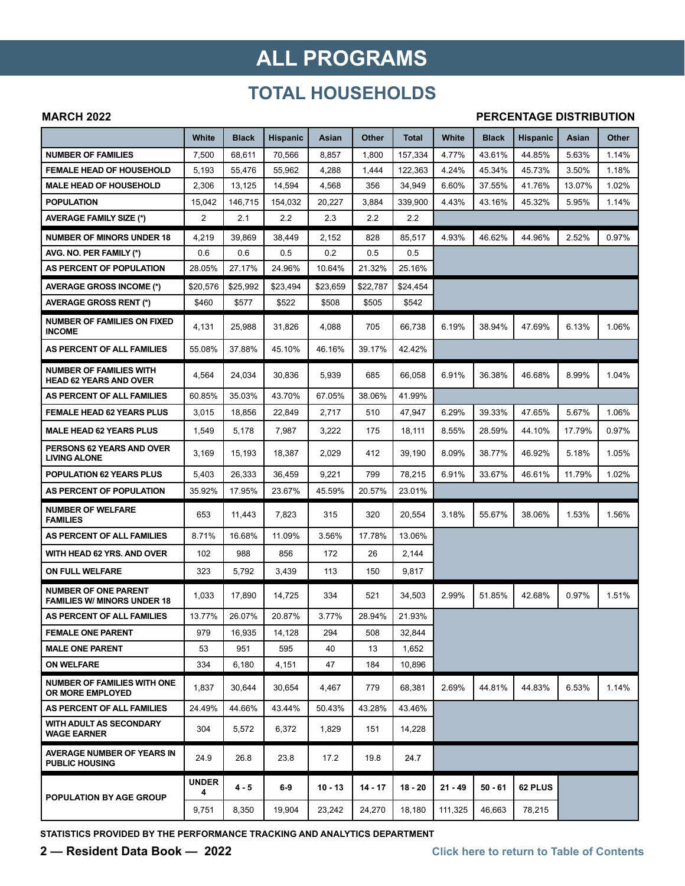## **ALL PROGRAMS**

## **TOTAL HOUSEHOLDS**

#### **MARCH 2022**

#### **PERCENTAGE DISTRIBUTION**

|                                                                   | White             | Black    | Hispanic | Asian     | Other    | Total     | White     | Black   | <b>Hispanic</b> | Asian  | Other |
|-------------------------------------------------------------------|-------------------|----------|----------|-----------|----------|-----------|-----------|---------|-----------------|--------|-------|
| <b>NUMBER OF FAMILIES</b>                                         | 7,500             | 68,611   | 70,566   | 8,857     | 1,800    | 157,334   | 4.77%     | 43.61%  | 44.85%          | 5.63%  | 1.14% |
| <b>FEMALE HEAD OF HOUSEHOLD</b>                                   | 5,193             | 55,476   | 55,962   | 4,288     | 1,444    | 122,363   | 4.24%     | 45.34%  | 45.73%          | 3.50%  | 1.18% |
| <b>MALE HEAD OF HOUSEHOLD</b>                                     | 2,306             | 13,125   | 14,594   | 4,568     | 356      | 34,949    | 6.60%     | 37.55%  | 41.76%          | 13.07% | 1.02% |
| <b>POPULATION</b>                                                 | 15,042            | 146.715  | 154,032  | 20,227    | 3,884    | 339,900   | 4.43%     | 43.16%  | 45.32%          | 5.95%  | 1.14% |
| <b>AVERAGE FAMILY SIZE (*)</b>                                    | $\overline{2}$    | 2.1      | 2.2      | 2.3       | 2.2      | 2.2       |           |         |                 |        |       |
| <b>NUMBER OF MINORS UNDER 18</b>                                  | 4,219             | 39,869   | 38,449   | 2,152     | 828      | 85,517    | 4.93%     | 46.62%  | 44.96%          | 2.52%  | 0.97% |
| AVG. NO. PER FAMILY (*)                                           | 0.6               | 0.6      | 0.5      | 0.2       | 0.5      | 0.5       |           |         |                 |        |       |
| AS PERCENT OF POPULATION                                          | 28.05%            | 27.17%   | 24.96%   | 10.64%    | 21.32%   | 25.16%    |           |         |                 |        |       |
| <b>AVERAGE GROSS INCOME (*)</b>                                   | \$20.576          | \$25.992 | \$23,494 | \$23,659  | \$22.787 | \$24,454  |           |         |                 |        |       |
| <b>AVERAGE GROSS RENT (*)</b>                                     | \$460             | \$577    | \$522    | \$508     | \$505    | \$542     |           |         |                 |        |       |
| <b>NUMBER OF FAMILIES ON FIXED</b><br><b>INCOME</b>               | 4,131             | 25,988   | 31,826   | 4,088     | 705      | 66,738    | 6.19%     | 38.94%  | 47.69%          | 6.13%  | 1.06% |
| AS PERCENT OF ALL FAMILIES                                        | 55.08%            | 37.88%   | 45.10%   | 46.16%    | 39.17%   | 42.42%    |           |         |                 |        |       |
| <b>NUMBER OF FAMILIES WITH</b><br><b>HEAD 62 YEARS AND OVER</b>   | 4,564             | 24,034   | 30,836   | 5,939     | 685      | 66,058    | 6.91%     | 36.38%  | 46.68%          | 8.99%  | 1.04% |
| AS PERCENT OF ALL FAMILIES                                        | 60.85%            | 35.03%   | 43.70%   | 67.05%    | 38.06%   | 41.99%    |           |         |                 |        |       |
| <b>FEMALE HEAD 62 YEARS PLUS</b>                                  | 3,015             | 18,856   | 22,849   | 2,717     | 510      | 47,947    | 6.29%     | 39.33%  | 47.65%          | 5.67%  | 1.06% |
| <b>MALE HEAD 62 YEARS PLUS</b>                                    | 1,549             | 5,178    | 7,987    | 3,222     | 175      | 18,111    | 8.55%     | 28.59%  | 44.10%          | 17.79% | 0.97% |
| PERSONS 62 YEARS AND OVER<br><b>LIVING ALONE</b>                  | 3,169             | 15,193   | 18,387   | 2,029     | 412      | 39,190    | 8.09%     | 38.77%  | 46.92%          | 5.18%  | 1.05% |
| <b>POPULATION 62 YEARS PLUS</b>                                   | 5,403             | 26,333   | 36,459   | 9,221     | 799      | 78,215    | 6.91%     | 33.67%  | 46.61%          | 11.79% | 1.02% |
| AS PERCENT OF POPULATION                                          | 35.92%            | 17.95%   | 23.67%   | 45.59%    | 20.57%   | 23.01%    |           |         |                 |        |       |
| <b>NUMBER OF WELFARE</b><br><b>FAMILIES</b>                       | 653               | 11,443   | 7,823    | 315       | 320      | 20,554    | 3.18%     | 55.67%  | 38.06%          | 1.53%  | 1.56% |
| AS PERCENT OF ALL FAMILIES                                        | 8.71%             | 16.68%   | 11.09%   | 3.56%     | 17.78%   | 13.06%    |           |         |                 |        |       |
| WITH HEAD 62 YRS. AND OVER                                        | 102               | 988      | 856      | 172       | 26       | 2,144     |           |         |                 |        |       |
| <b>ON FULL WELFARE</b>                                            | 323               | 5,792    | 3,439    | 113       | 150      | 9,817     |           |         |                 |        |       |
| <b>NUMBER OF ONE PARENT</b><br><b>FAMILIES W/ MINORS UNDER 18</b> | 1,033             | 17,890   | 14,725   | 334       | 521      | 34,503    | 2.99%     | 51.85%  | 42.68%          | 0.97%  | 1.51% |
| AS PERCENT OF ALL FAMILIES                                        | 13.77%            | 26.07%   | 20.87%   | 3.77%     | 28.94%   | 21.93%    |           |         |                 |        |       |
| <b>FEMALE ONE PARENT</b>                                          | 979               | 16,935   | 14,128   | 294       | 508      | 32,844    |           |         |                 |        |       |
| <b>MALE ONE PARENT</b>                                            | 53                | 951      | 595      | 40        | 13       | 1,652     |           |         |                 |        |       |
| <b>ON WELFARE</b>                                                 | 334               | 6,180    | 4,151    | 47        | 184      | 10,896    |           |         |                 |        |       |
| <b>NUMBER OF FAMILIES WITH ONE</b><br>OR MORE EMPLOYED            | 1,837             | 30,644   | 30,654   | 4,467     | 779      | 68,381    | 2.69%     | 44.81%  | 44.83%          | 6.53%  | 1.14% |
| AS PERCENT OF ALL FAMILIES                                        | 24.49%            | 44.66%   | 43.44%   | 50.43%    | 43.28%   | 43.46%    |           |         |                 |        |       |
| <b>WITH ADULT AS SECONDARY</b><br><b>WAGE EARNER</b>              | 304               | 5,572    | 6,372    | 1,829     | 151      | 14,228    |           |         |                 |        |       |
| AVERAGE NUMBER OF YEARS IN<br><b>PUBLIC HOUSING</b>               | 24.9              | 26.8     | 23.8     | 17.2      | 19.8     | 24.7      |           |         |                 |        |       |
| <b>POPULATION BY AGE GROUP</b>                                    | <b>UNDER</b><br>4 | $4 - 5$  | 6-9      | $10 - 13$ | 14 - 17  | $18 - 20$ | $21 - 49$ | 50 - 61 | 62 PLUS         |        |       |
|                                                                   | 9,751             | 8,350    | 19,904   | 23,242    | 24,270   | 18,180    | 111,325   | 46,663  | 78,215          |        |       |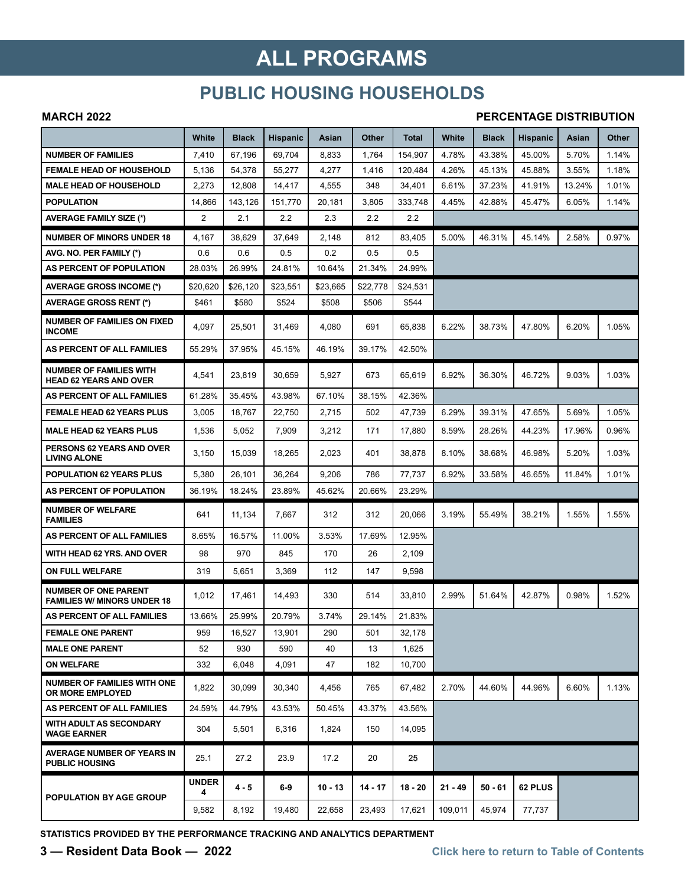## **ALL PROGRAMS**

### **PUBLIC HOUSING HOUSEHOLDS**

#### **MARCH 2022**

#### **PERCENTAGE DISTRIBUTION**

|                                                                   | White             | <b>Black</b> | <b>Hispanic</b> | Asian     | <b>Other</b> | <b>Total</b> | White     | <b>Black</b> | <b>Hispanic</b> | Asian  | Other |
|-------------------------------------------------------------------|-------------------|--------------|-----------------|-----------|--------------|--------------|-----------|--------------|-----------------|--------|-------|
| <b>NUMBER OF FAMILIES</b>                                         | 7,410             | 67,196       | 69,704          | 8,833     | 1,764        | 154,907      | 4.78%     | 43.38%       | 45.00%          | 5.70%  | 1.14% |
| <b>FEMALE HEAD OF HOUSEHOLD</b>                                   | 5,136             | 54,378       | 55,277          | 4,277     | 1,416        | 120,484      | 4.26%     | 45.13%       | 45.88%          | 3.55%  | 1.18% |
| <b>MALE HEAD OF HOUSEHOLD</b>                                     | 2,273             | 12,808       | 14,417          | 4,555     | 348          | 34,401       | 6.61%     | 37.23%       | 41.91%          | 13.24% | 1.01% |
| <b>POPULATION</b>                                                 | 14,866            | 143.126      | 151,770         | 20,181    | 3,805        | 333,748      | 4.45%     | 42.88%       | 45.47%          | 6.05%  | 1.14% |
| <b>AVERAGE FAMILY SIZE (*)</b>                                    | $\overline{2}$    | 2.1          | 2.2             | 2.3       | 2.2          | 2.2          |           |              |                 |        |       |
| <b>NUMBER OF MINORS UNDER 18</b>                                  | 4,167             | 38,629       | 37,649          | 2,148     | 812          | 83,405       | 5.00%     | 46.31%       | 45.14%          | 2.58%  | 0.97% |
| AVG. NO. PER FAMILY (*)                                           | 0.6               | 0.6          | 0.5             | 0.2       | 0.5          | 0.5          |           |              |                 |        |       |
| AS PERCENT OF POPULATION                                          | 28.03%            | 26.99%       | 24.81%          | 10.64%    | 21.34%       | 24.99%       |           |              |                 |        |       |
| <b>AVERAGE GROSS INCOME (*)</b>                                   | \$20,620          | \$26,120     | \$23,551        | \$23.665  | \$22,778     | \$24,531     |           |              |                 |        |       |
| <b>AVERAGE GROSS RENT (*)</b>                                     | \$461             | \$580        | \$524           | \$508     | \$506        | \$544        |           |              |                 |        |       |
| <b>NUMBER OF FAMILIES ON FIXED</b><br><b>INCOME</b>               | 4,097             | 25,501       | 31,469          | 4,080     | 691          | 65,838       | 6.22%     | 38.73%       | 47.80%          | 6.20%  | 1.05% |
| AS PERCENT OF ALL FAMILIES                                        | 55.29%            | 37.95%       | 45.15%          | 46.19%    | 39.17%       | 42.50%       |           |              |                 |        |       |
| <b>NUMBER OF FAMILIES WITH</b><br><b>HEAD 62 YEARS AND OVER</b>   | 4,541             | 23,819       | 30.659          | 5,927     | 673          | 65,619       | 6.92%     | 36.30%       | 46.72%          | 9.03%  | 1.03% |
| AS PERCENT OF ALL FAMILIES                                        | 61.28%            | 35.45%       | 43.98%          | 67.10%    | 38.15%       | 42.36%       |           |              |                 |        |       |
| <b>FEMALE HEAD 62 YEARS PLUS</b>                                  | 3,005             | 18,767       | 22,750          | 2,715     | 502          | 47,739       | 6.29%     | 39.31%       | 47.65%          | 5.69%  | 1.05% |
| <b>MALE HEAD 62 YEARS PLUS</b>                                    | 1,536             | 5,052        | 7,909           | 3,212     | 171          | 17,880       | 8.59%     | 28.26%       | 44.23%          | 17.96% | 0.96% |
| <b>PERSONS 62 YEARS AND OVER</b><br><b>LIVING ALONE</b>           | 3,150             | 15,039       | 18,265          | 2,023     | 401          | 38,878       | 8.10%     | 38.68%       | 46.98%          | 5.20%  | 1.03% |
| <b>POPULATION 62 YEARS PLUS</b>                                   | 5,380             | 26,101       | 36,264          | 9,206     | 786          | 77,737       | 6.92%     | 33.58%       | 46.65%          | 11.84% | 1.01% |
| AS PERCENT OF POPULATION                                          | 36.19%            | 18.24%       | 23.89%          | 45.62%    | 20.66%       | 23.29%       |           |              |                 |        |       |
| <b>NUMBER OF WELFARE</b><br><b>FAMILIES</b>                       | 641               | 11,134       | 7,667           | 312       | 312          | 20,066       | 3.19%     | 55.49%       | 38.21%          | 1.55%  | 1.55% |
| AS PERCENT OF ALL FAMILIES                                        | 8.65%             | 16.57%       | 11.00%          | 3.53%     | 17.69%       | 12.95%       |           |              |                 |        |       |
| WITH HEAD 62 YRS. AND OVER                                        | 98                | 970          | 845             | 170       | 26           | 2,109        |           |              |                 |        |       |
| ON FULL WELFARE                                                   | 319               | 5,651        | 3,369           | 112       | 147          | 9,598        |           |              |                 |        |       |
| <b>NUMBER OF ONE PARENT</b><br><b>FAMILIES W/ MINORS UNDER 18</b> | 1,012             | 17,461       | 14,493          | 330       | 514          | 33,810       | 2.99%     | 51.64%       | 42.87%          | 0.98%  | 1.52% |
| AS PERCENT OF ALL FAMILIES                                        | 13.66%            | 25.99%       | 20.79%          | 3.74%     | 29.14%       | 21.83%       |           |              |                 |        |       |
| <b>FEMALE ONE PARENT</b>                                          | 959               | 16,527       | 13,901          | 290       | 501          | 32,178       |           |              |                 |        |       |
| <b>MALE ONE PARENT</b>                                            | 52                | 930          | 590             | 40        | 13           | 1,625        |           |              |                 |        |       |
| <b>ON WELFARE</b>                                                 | 332               | 6,048        | 4,091           | 47        | 182          | 10,700       |           |              |                 |        |       |
| <b>NUMBER OF FAMILIES WITH ONE</b><br><b>OR MORE EMPLOYED</b>     | 1,822             | 30,099       | 30,340          | 4,456     | 765          | 67,482       | 2.70%     | 44.60%       | 44.96%          | 6.60%  | 1.13% |
| AS PERCENT OF ALL FAMILIES                                        | 24.59%            | 44.79%       | 43.53%          | 50.45%    | 43.37%       | 43.56%       |           |              |                 |        |       |
| <b>WITH ADULT AS SECONDARY</b><br><b>WAGE EARNER</b>              | 304               | 5,501        | 6,316           | 1,824     | 150          | 14,095       |           |              |                 |        |       |
| <b>AVERAGE NUMBER OF YEARS IN</b><br><b>PUBLIC HOUSING</b>        | 25.1              | 27.2         | 23.9            | 17.2      | 20           | 25           |           |              |                 |        |       |
| POPULATION BY AGE GROUP                                           | <b>UNDER</b><br>4 | $4 - 5$      | $6-9$           | $10 - 13$ | $14 - 17$    | $18 - 20$    | $21 - 49$ | $50 - 61$    | 62 PLUS         |        |       |
|                                                                   | 9,582             | 8,192        | 19,480          | 22,658    | 23,493       | 17,621       | 109,011   | 45,974       | 77,737          |        |       |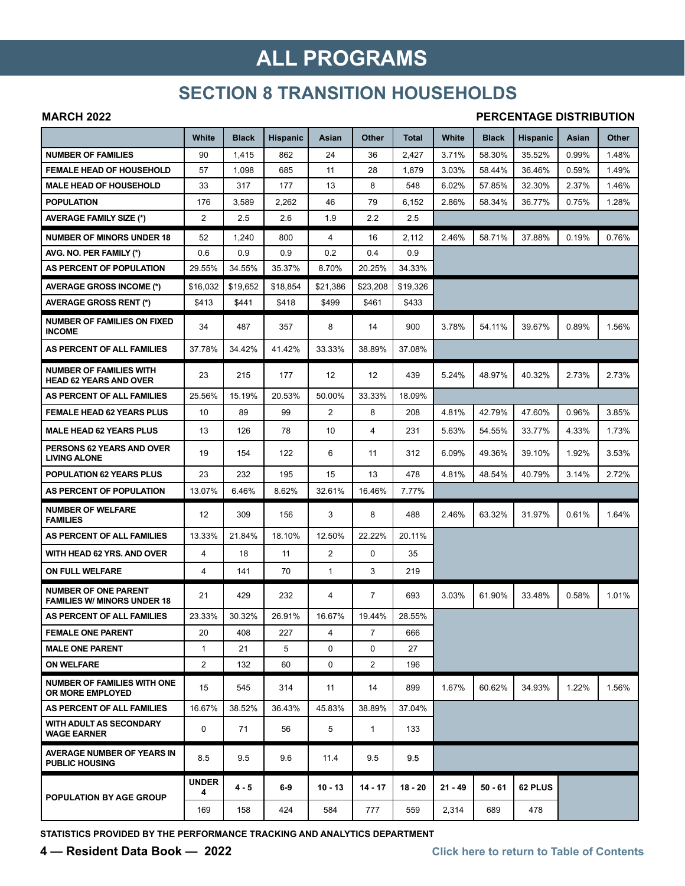## **ALL PROGRAMS**

### **SECTION 8 TRANSITION HOUSEHOLDS**

#### **MARCH 2022**

#### **PERCENTAGE DISTRIBUTION**

|                                                                   | White             | <b>Black</b> | <b>Hispanic</b> | Asian          | Other          | Total     | White     | <b>Black</b> | <b>Hispanic</b> | Asian | Other |
|-------------------------------------------------------------------|-------------------|--------------|-----------------|----------------|----------------|-----------|-----------|--------------|-----------------|-------|-------|
| <b>NUMBER OF FAMILIES</b>                                         | 90                | 1,415        | 862             | 24             | 36             | 2,427     | 3.71%     | 58.30%       | 35.52%          | 0.99% | 1.48% |
| <b>FEMALE HEAD OF HOUSEHOLD</b>                                   | 57                | 1,098        | 685             | 11             | 28             | 1,879     | 3.03%     | 58.44%       | 36.46%          | 0.59% | 1.49% |
| <b>MALE HEAD OF HOUSEHOLD</b>                                     | 33                | 317          | 177             | 13             | 8              | 548       | 6.02%     | 57.85%       | 32.30%          | 2.37% | 1.46% |
| <b>POPULATION</b>                                                 | 176               | 3,589        | 2,262           | 46             | 79             | 6,152     | 2.86%     | 58.34%       | 36.77%          | 0.75% | 1.28% |
| <b>AVERAGE FAMILY SIZE (*)</b>                                    | $\mathbf{2}$      | 2.5          | 2.6             | 1.9            | 2.2            | 2.5       |           |              |                 |       |       |
| <b>NUMBER OF MINORS UNDER 18</b>                                  | 52                | 1,240        | 800             | 4              | 16             | 2,112     | 2.46%     | 58.71%       | 37.88%          | 0.19% | 0.76% |
| AVG. NO. PER FAMILY (*)                                           | 0.6               | 0.9          | 0.9             | 0.2            | 0.4            | 0.9       |           |              |                 |       |       |
| AS PERCENT OF POPULATION                                          | 29.55%            | 34.55%       | 35.37%          | 8.70%          | 20.25%         | 34.33%    |           |              |                 |       |       |
| <b>AVERAGE GROSS INCOME (*)</b>                                   | \$16,032          | \$19.652     | \$18,854        | \$21,386       | \$23,208       | \$19,326  |           |              |                 |       |       |
| <b>AVERAGE GROSS RENT (*)</b>                                     | \$413             | \$441        | \$418           | \$499          | \$461          | \$433     |           |              |                 |       |       |
| <b>NUMBER OF FAMILIES ON FIXED</b><br><b>INCOME</b>               | 34                | 487          | 357             | 8              | 14             | 900       | 3.78%     | 54.11%       | 39.67%          | 0.89% | 1.56% |
| AS PERCENT OF ALL FAMILIES                                        | 37.78%            | 34.42%       | 41.42%          | 33.33%         | 38.89%         | 37.08%    |           |              |                 |       |       |
| <b>NUMBER OF FAMILIES WITH</b><br><b>HEAD 62 YEARS AND OVER</b>   | 23                | 215          | 177             | 12             | 12             | 439       | 5.24%     | 48.97%       | 40.32%          | 2.73% | 2.73% |
| AS PERCENT OF ALL FAMILIES                                        | 25.56%            | 15.19%       | 20.53%          | 50.00%         | 33.33%         | 18.09%    |           |              |                 |       |       |
| <b>FEMALE HEAD 62 YEARS PLUS</b>                                  | 10                | 89           | 99              | $\overline{2}$ | 8              | 208       | 4.81%     | 42.79%       | 47.60%          | 0.96% | 3.85% |
| <b>MALE HEAD 62 YEARS PLUS</b>                                    | 13                | 126          | 78              | 10             | 4              | 231       | 5.63%     | 54.55%       | 33.77%          | 4.33% | 1.73% |
| PERSONS 62 YEARS AND OVER<br><b>LIVING ALONE</b>                  | 19                | 154          | 122             | 6              | 11             | 312       | 6.09%     | 49.36%       | 39.10%          | 1.92% | 3.53% |
| <b>POPULATION 62 YEARS PLUS</b>                                   | 23                | 232          | 195             | 15             | 13             | 478       | 4.81%     | 48.54%       | 40.79%          | 3.14% | 2.72% |
| AS PERCENT OF POPULATION                                          | 13.07%            | 6.46%        | 8.62%           | 32.61%         | 16.46%         | 7.77%     |           |              |                 |       |       |
| <b>NUMBER OF WELFARE</b><br><b>FAMILIES</b>                       | 12                | 309          | 156             | 3              | 8              | 488       | 2.46%     | 63.32%       | 31.97%          | 0.61% | 1.64% |
| <b>AS PERCENT OF ALL FAMILIES</b>                                 | 13.33%            | 21.84%       | 18.10%          | 12.50%         | 22.22%         | 20.11%    |           |              |                 |       |       |
| WITH HEAD 62 YRS. AND OVER                                        | 4                 | 18           | 11              | $\overline{2}$ | $\mathbf 0$    | 35        |           |              |                 |       |       |
| ON FULL WELFARE                                                   | 4                 | 141          | 70              | 1              | 3              | 219       |           |              |                 |       |       |
| <b>NUMBER OF ONE PARENT</b><br><b>FAMILIES W/ MINORS UNDER 18</b> | 21                | 429          | 232             | 4              | 7              | 693       | 3.03%     | 61.90%       | 33.48%          | 0.58% | 1.01% |
| AS PERCENT OF ALL FAMILIES                                        | 23.33%            | 30.32%       | 26.91%          | 16.67%         | 19.44%         | 28.55%    |           |              |                 |       |       |
| <b>FEMALE ONE PARENT</b>                                          | 20                | 408          | 227             | 4              | $\overline{7}$ | 666       |           |              |                 |       |       |
| <b>MALE ONE PARENT</b>                                            | $\mathbf{1}$      | 21           | 5               | $\Omega$       | $\Omega$       | 27        |           |              |                 |       |       |
| <b>ON WELFARE</b>                                                 | $\mathbf{2}$      | 132          | 60              | 0              | 2              | 196       |           |              |                 |       |       |
| <b>NUMBER OF FAMILIES WITH ONE</b><br><b>OR MORE EMPLOYED</b>     | 15                | 545          | 314             | 11             | 14             | 899       | 1.67%     | 60.62%       | 34.93%          | 1.22% | 1.56% |
| AS PERCENT OF ALL FAMILIES                                        | 16.67%            | 38.52%       | 36.43%          | 45.83%         | 38.89%         | 37.04%    |           |              |                 |       |       |
| <b>WITH ADULT AS SECONDARY</b><br><b>WAGE EARNER</b>              | 0                 | 71           | 56              | 5              | $\mathbf{1}$   | 133       |           |              |                 |       |       |
| AVERAGE NUMBER OF YEARS IN<br><b>PUBLIC HOUSING</b>               | 8.5               | 9.5          | 9.6             | 11.4           | 9.5            | 9.5       |           |              |                 |       |       |
| <b>POPULATION BY AGE GROUP</b>                                    | <b>UNDER</b><br>4 | $4 - 5$      | $6-9$           | $10 - 13$      | $14 - 17$      | $18 - 20$ | $21 - 49$ | $50 - 61$    | 62 PLUS         |       |       |
|                                                                   | 169               | 158          | 424             | 584            | 777            | 559       | 2,314     | 689          | 478             |       |       |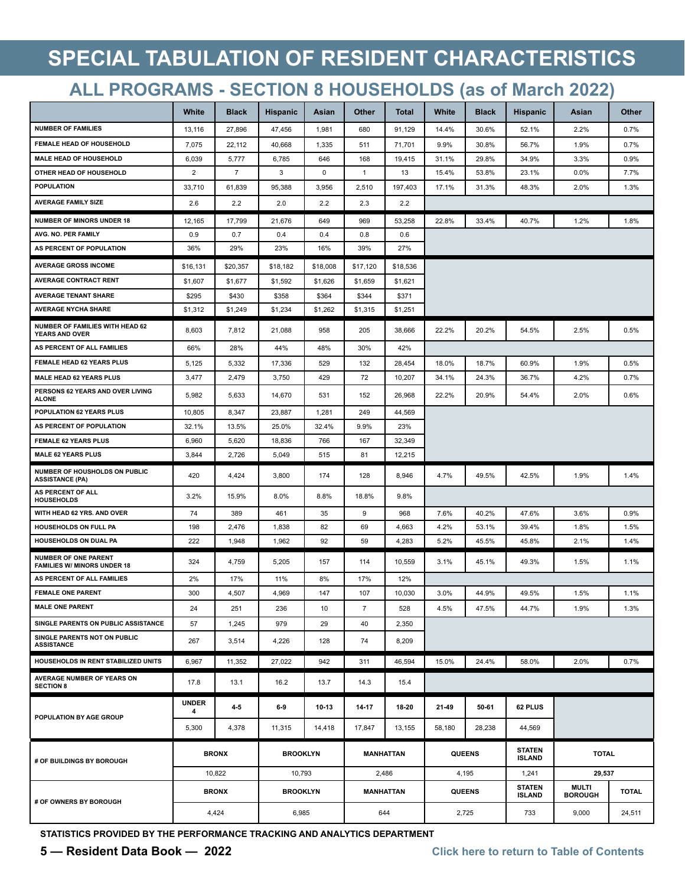## **SPECIAL TABULATION OF RESIDENT CHARACTERISTICS**

## **ALL PROGRAMS - SECTION 8 HOUSEHOLDS (as of March 2022)**

|                                                                   | White             | <b>Black</b>   | <b>Hispanic</b> | Asian       | Other          | <b>Total</b> | White  | <b>Black</b>  | <b>Hispanic</b>                | Asian                          | Other        |
|-------------------------------------------------------------------|-------------------|----------------|-----------------|-------------|----------------|--------------|--------|---------------|--------------------------------|--------------------------------|--------------|
| <b>NUMBER OF FAMILIES</b>                                         | 13,116            | 27,896         | 47,456          | 1,981       | 680            | 91,129       | 14.4%  | 30.6%         | 52.1%                          | 2.2%                           | 0.7%         |
| FEMALE HEAD OF HOUSEHOLD                                          | 7,075             | 22,112         | 40,668          | 1,335       | 511            | 71,701       | 9.9%   | 30.8%         | 56.7%                          | 1.9%                           | 0.7%         |
| <b>MALE HEAD OF HOUSEHOLD</b>                                     | 6,039             | 5,777          | 6,785           | 646         | 168            | 19,415       | 31.1%  | 29.8%         | 34.9%                          | 3.3%                           | 0.9%         |
| OTHER HEAD OF HOUSEHOLD                                           | $\overline{2}$    | $\overline{7}$ | 3               | $\mathbf 0$ | $\mathbf{1}$   | 13           | 15.4%  | 53.8%         | 23.1%                          | 0.0%                           | 7.7%         |
| <b>POPULATION</b>                                                 | 33,710            | 61,839         | 95,388          | 3,956       | 2,510          | 197,403      | 17.1%  | 31.3%         | 48.3%                          | 2.0%                           | 1.3%         |
| <b>AVERAGE FAMILY SIZE</b>                                        | 2.6               | 2.2            | 2.0             | 2.2         | 2.3            | 2.2          |        |               |                                |                                |              |
| <b>NUMBER OF MINORS UNDER 18</b>                                  | 12,165            | 17,799         | 21,676          | 649         | 969            | 53,258       | 22.8%  | 33.4%         | 40.7%                          | 1.2%                           | 1.8%         |
| AVG. NO. PER FAMILY                                               | 0.9               | 0.7            | 0.4             | 0.4         | 0.8            | 0.6          |        |               |                                |                                |              |
| AS PERCENT OF POPULATION                                          | 36%               | 29%            | 23%             | 16%         | 39%            | 27%          |        |               |                                |                                |              |
| <b>AVERAGE GROSS INCOME</b>                                       | \$16,131          | \$20,357       | \$18,182        | \$18,008    | \$17,120       | \$18,536     |        |               |                                |                                |              |
| <b>AVERAGE CONTRACT RENT</b>                                      | \$1,607           | \$1,677        | \$1,592         | \$1,626     | \$1,659        | \$1,621      |        |               |                                |                                |              |
| <b>AVERAGE TENANT SHARE</b>                                       | \$295             | \$430          | \$358           | \$364       | \$344          | \$371        |        |               |                                |                                |              |
| <b>AVERAGE NYCHA SHARE</b>                                        | \$1,312           | \$1,249        | \$1,234         | \$1,262     | \$1,315        | \$1,251      |        |               |                                |                                |              |
| NUMBER OF FAMILIES WITH HEAD 62<br><b>YEARS AND OVER</b>          | 8,603             | 7,812          | 21,088          | 958         | 205            | 38,666       | 22.2%  | 20.2%         | 54.5%                          | 2.5%                           | 0.5%         |
| AS PERCENT OF ALL FAMILIES                                        | 66%               | 28%            | 44%             | 48%         | 30%            | 42%          |        |               |                                |                                |              |
| FEMALE HEAD 62 YEARS PLUS                                         | 5,125             | 5,332          | 17,336          | 529         | 132            | 28,454       | 18.0%  | 18.7%         | 60.9%                          | 1.9%                           | 0.5%         |
| <b>MALE HEAD 62 YEARS PLUS</b>                                    | 3,477             | 2,479          | 3,750           | 429         | 72             | 10,207       | 34.1%  | 24.3%         | 36.7%                          | 4.2%                           | 0.7%         |
| PERSONS 62 YEARS AND OVER LIVING<br><b>ALONE</b>                  | 5,982             | 5,633          | 14,670          | 531         | 152            | 26,968       | 22.2%  | 20.9%         | 54.4%                          | 2.0%                           | 0.6%         |
| POPULATION 62 YEARS PLUS                                          | 10,805            | 8,347          | 23,887          | 1,281       | 249            | 44,569       |        |               |                                |                                |              |
| AS PERCENT OF POPULATION                                          | 32.1%             | 13.5%          | 25.0%           | 32.4%       | 9.9%           | 23%          |        |               |                                |                                |              |
| <b>FEMALE 62 YEARS PLUS</b>                                       | 6,960             | 5,620          | 18,836          | 766         | 167            | 32,349       |        |               |                                |                                |              |
| <b>MALE 62 YEARS PLUS</b>                                         | 3,844             | 2,726          | 5,049           | 515         | 81             | 12,215       |        |               |                                |                                |              |
| NUMBER OF HOUSHOLDS ON PUBLIC<br><b>ASSISTANCE (PA)</b>           | 420               | 4,424          | 3,800           | 174         | 128            | 8,946        | 4.7%   | 49.5%         | 42.5%                          | 1.9%                           | 1.4%         |
| AS PERCENT OF ALL<br><b>HOUSEHOLDS</b>                            | 3.2%              | 15.9%          | 8.0%            | 8.8%        | 18.8%          | 9.8%         |        |               |                                |                                |              |
| WITH HEAD 62 YRS. AND OVER                                        | 74                | 389            | 461             | 35          | 9              | 968          | 7.6%   | 40.2%         | 47.6%                          | 3.6%                           | 0.9%         |
| <b>HOUSEHOLDS ON FULL PA</b>                                      | 198               | 2,476          | 1,838           | 82          | 69             | 4,663        | 4.2%   | 53.1%         | 39.4%                          | 1.8%                           | 1.5%         |
| HOUSEHOLDS ON DUAL PA                                             | 222               | 1,948          | 1,962           | 92          | 59             | 4,283        | 5.2%   | 45.5%         | 45.8%                          | 2.1%                           | 1.4%         |
| <b>NUMBER OF ONE PARENT</b><br><b>FAMILIES W/ MINORS UNDER 18</b> | 324               | 4,759          | 5,205           | 157         | 114            | 10,559       | 3.1%   | 45.1%         | 49.3%                          | 1.5%                           | 1.1%         |
| AS PERCENT OF ALL FAMILIES                                        | 2%                | 17%            | 11%             | 8%          | 17%            | 12%          |        |               |                                |                                |              |
| <b>FEMALE ONE PARENT</b>                                          | 300               | 4,507          | 4,969           | 147         | 107            | 10,030       | 3.0%   | 44.9%         | 49.5%                          | 1.5%                           | 1.1%         |
| <b>MALE ONE PARENT</b>                                            | 24                | 251            | 236             | 10          | $\overline{7}$ | 528          | 4.5%   | 47.5%         | 44.7%                          | 1.9%                           | 1.3%         |
| SINGLE PARENTS ON PUBLIC ASSISTANCE                               | 57                | 1,245          | 979             | 29          | 40             | 2,350        |        |               |                                |                                |              |
| SINGLE PARENTS NOT ON PUBLIC<br><b>ASSISTANCE</b>                 | 267               | 3,514          | 4,226           | 128         | 74             | 8,209        |        |               |                                |                                |              |
| HOUSEHOLDS IN RENT STABILIZED UNITS                               | 6,967             | 11,352         | 27,022          | 942         | 311            | 46,594       | 15.0%  | 24.4%         | 58.0%                          | 2.0%                           | 0.7%         |
| AVERAGE NUMBER OF YEARS ON<br><b>SECTION 8</b>                    | 17.8              | 13.1           | 16.2            | 13.7        | 14.3           | 15.4         |        |               |                                |                                |              |
|                                                                   | <b>UNDER</b><br>4 | 45             | 69              | 10-13       | 14-17          | 18-20        | 21-49  | 50-61         | 62 PLUS                        |                                |              |
| POPULATION BY AGE GROUP                                           | 5,300             | 4,378          | 11,315          | 14,418      | 17,847         | 13,155       | 58,180 | 28,238        | 44,569                         |                                |              |
| # OF BUILDINGS BY BOROUGH                                         |                   | <b>BRONX</b>   | <b>BROOKLYN</b> |             | MANHATTAN      |              |        | <b>QUEENS</b> | <b>STATEN</b><br><b>ISLAND</b> | <b>TOTAL</b>                   |              |
|                                                                   |                   | 10,822         | 10,793          |             | 2,486          |              |        | 4,195         | 1,241                          | 29,537                         |              |
|                                                                   |                   | <b>BRONX</b>   | <b>BROOKLYN</b> |             | MANHATTAN      |              |        | <b>QUEENS</b> | <b>STATEN</b><br><b>ISLAND</b> | <b>MULTI</b><br><b>BOROUGH</b> | <b>TOTAL</b> |
| # OF OWNERS BY BOROUGH                                            |                   | 4,424          | 6,985           |             | 644            |              |        | 2,725         | 733                            | 9,000                          | 24,511       |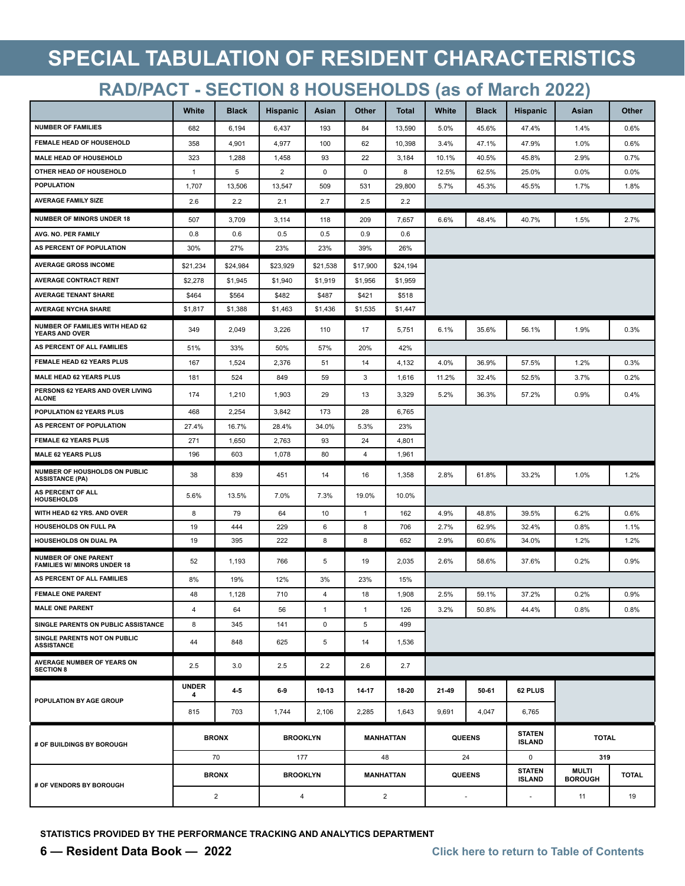# **SPECIAL TABULATION OF RESIDENT CHARACTERISTICS**

## **RAD/PACT - SECTION 8 HOUSEHOLDS (as of March 2022)**

|                                                                   | White             | <b>Black</b>   | <b>Hispanic</b> | Asian        | Other            | <b>Total</b>     | White | <b>Black</b>             | <b>Hispanic</b>                | Asian                          | Other        |
|-------------------------------------------------------------------|-------------------|----------------|-----------------|--------------|------------------|------------------|-------|--------------------------|--------------------------------|--------------------------------|--------------|
| <b>NUMBER OF FAMILIES</b>                                         | 682               | 6,194          | 6,437           | 193          | 84               | 13,590           | 5.0%  | 45.6%                    | 47.4%                          | 1.4%                           | 0.6%         |
| <b>FEMALE HEAD OF HOUSEHOLD</b>                                   | 358               | 4,901          | 4,977           | 100          | 62               | 10,398           | 3.4%  | 47.1%                    | 47.9%                          | 1.0%                           | 0.6%         |
| <b>MALE HEAD OF HOUSEHOLD</b>                                     | 323               | 1,288          | 1,458           | 93           | 22               | 3,184            | 10.1% | 40.5%                    | 45.8%                          | 2.9%                           | 0.7%         |
| OTHER HEAD OF HOUSEHOLD                                           | $\mathbf{1}$      | 5              | $\overline{2}$  | 0            | 0                | 8                | 12.5% | 62.5%                    | 25.0%                          | 0.0%                           | 0.0%         |
| <b>POPULATION</b>                                                 | 1,707             | 13,506         | 13,547          | 509          | 531              | 29,800           | 5.7%  | 45.3%                    | 45.5%                          | 1.7%                           | 1.8%         |
| <b>AVERAGE FAMILY SIZE</b>                                        | 2.6               | 2.2            | 2.1             | 2.7          | 2.5              | 2.2              |       |                          |                                |                                |              |
| <b>NUMBER OF MINORS UNDER 18</b>                                  | 507               | 3,709          | 3,114           | 118          | 209              | 7,657            | 6.6%  | 48.4%                    | 40.7%                          | 1.5%                           | 2.7%         |
| AVG. NO. PER FAMILY                                               | 0.8               | 0.6            | 0.5             | 0.5          | 0.9              | 0.6              |       |                          |                                |                                |              |
| AS PERCENT OF POPULATION                                          | 30%               | 27%            | 23%             | 23%          | 39%              | 26%              |       |                          |                                |                                |              |
| <b>AVERAGE GROSS INCOME</b>                                       | \$21,234          | \$24,984       | \$23,929        | \$21,538     | \$17,900         | \$24,194         |       |                          |                                |                                |              |
| <b>AVERAGE CONTRACT RENT</b>                                      | \$2,278           | \$1,945        | \$1,940         | \$1,919      | \$1,956          | \$1,959          |       |                          |                                |                                |              |
| <b>AVERAGE TENANT SHARE</b>                                       | \$464             | \$564          | \$482           | \$487        | \$421            | \$518            |       |                          |                                |                                |              |
| <b>AVERAGE NYCHA SHARE</b>                                        | \$1,817           | \$1,388        | \$1,463         | \$1,436      | \$1,535          | \$1,447          |       |                          |                                |                                |              |
| NUMBER OF FAMILIES WITH HEAD 62<br><b>YEARS AND OVER</b>          | 349               | 2,049          | 3,226           | 110          | 17               | 5,751            | 6.1%  | 35.6%                    | 56.1%                          | 1.9%                           | 0.3%         |
| AS PERCENT OF ALL FAMILIES                                        | 51%               | 33%            | 50%             | 57%          | 20%              | 42%              |       |                          |                                |                                |              |
| FEMALE HEAD 62 YEARS PLUS                                         | 167               | 1,524          | 2,376           | 51           | 14               | 4,132            | 4.0%  | 36.9%                    | 57.5%                          | 1.2%                           | 0.3%         |
| <b>MALE HEAD 62 YEARS PLUS</b>                                    | 181               | 524            | 849             | 59           | 3                | 1,616            | 11.2% | 32.4%                    | 52.5%                          | 3.7%                           | 0.2%         |
| PERSONS 62 YEARS AND OVER LIVING<br><b>ALONE</b>                  | 174               | 1,210          | 1,903           | 29           | 13               | 3,329            | 5.2%  | 36.3%                    | 57.2%                          | 0.9%                           | 0.4%         |
| POPULATION 62 YEARS PLUS                                          | 468               | 2,254          | 3,842           | 173          | 28               | 6,765            |       |                          |                                |                                |              |
| AS PERCENT OF POPULATION                                          | 27.4%             | 16.7%          | 28.4%           | 34.0%        | 5.3%             | 23%              |       |                          |                                |                                |              |
| <b>FEMALE 62 YEARS PLUS</b>                                       | 271               | 1,650          | 2,763           | 93           | 24               | 4,801            |       |                          |                                |                                |              |
| <b>MALE 62 YEARS PLUS</b>                                         | 196               | 603            | 1,078           | 80           | $\overline{4}$   | 1,961            |       |                          |                                |                                |              |
| NUMBER OF HOUSHOLDS ON PUBLIC<br><b>ASSISTANCE (PA)</b>           | 38                | 839            | 451             | 14           | 16               | 1,358            | 2.8%  | 61.8%                    | 33.2%                          | 1.0%                           | 1.2%         |
| AS PERCENT OF ALL<br><b>HOUSEHOLDS</b>                            | 5.6%              | 13.5%          | 7.0%            | 7.3%         | 19.0%            | 10.0%            |       |                          |                                |                                |              |
| WITH HEAD 62 YRS. AND OVER                                        | 8                 | 79             | 64              | 10           | $\mathbf{1}$     | 162              | 4.9%  | 48.8%                    | 39.5%                          | 6.2%                           | 0.6%         |
| HOUSEHOLDS ON FULL PA                                             | 19                | 444            | 229             | 6            | 8                | 706              | 2.7%  | 62.9%                    | 32.4%                          | 0.8%                           | 1.1%         |
| HOUSEHOLDS ON DUAL PA                                             | 19                | 395            | 222             | 8            | 8                | 652              | 2.9%  | 60.6%                    | 34.0%                          | 1.2%                           | 1.2%         |
| <b>NUMBER OF ONE PARENT</b><br><b>FAMILIES W/ MINORS UNDER 18</b> | 52                | 1,193          | 766             | 5            | 19               | 2,035            | 2.6%  | 58.6%                    | 37.6%                          | 0.2%                           | 0.9%         |
| AS PERCENT OF ALL FAMILIES                                        | 8%                | 19%            | 12%             | 3%           | 23%              | 15%              |       |                          |                                |                                |              |
| <b>FEMALE ONE PARENT</b>                                          | 48                | 1,128          | 710             | 4            | 18               | 1,908            | 2.5%  | 59.1%                    | 37.2%                          | 0.2%                           | 0.9%         |
| <b>MALE ONE PARENT</b>                                            | $\overline{4}$    | 64             | 56              | $\mathbf{1}$ | $\mathbf{1}$     | 126              | 3.2%  | 50.8%                    | 44.4%                          | 0.8%                           | 0.8%         |
| SINGLE PARENTS ON PUBLIC ASSISTANCE                               | 8                 | 345            | 141             | $\mathbf 0$  | 5                | 499              |       |                          |                                |                                |              |
| SINGLE PARENTS NOT ON PUBLIC<br><b>ASSISTANCE</b>                 | 44                | 848            | 625             | 5            | 14               | 1,536            |       |                          |                                |                                |              |
| AVERAGE NUMBER OF YEARS ON<br><b>SECTION 8</b>                    | 2.5               | 3.0            | 2.5             | 2.2          | 2.6              | 2.7              |       |                          |                                |                                |              |
|                                                                   | <b>UNDER</b><br>4 | 45             | 69              | 10-13        | 14-17            | 18-20            | 21-49 | 50-61                    | 62 PLUS                        |                                |              |
| POPULATION BY AGE GROUP                                           | 815               | 703            | 1,744           | 2,106        | 2,285            | 1,643            | 9,691 | 4,047                    | 6,765                          |                                |              |
|                                                                   |                   |                |                 |              |                  |                  |       |                          | <b>STATEN</b>                  |                                |              |
| # OF BUILDINGS BY BOROUGH                                         |                   | <b>BRONX</b>   | <b>BROOKLYN</b> |              | <b>MANHATTAN</b> |                  |       | <b>QUEENS</b>            | <b>ISLAND</b>                  | <b>TOTAL</b>                   |              |
|                                                                   |                   | 70             | 177             |              |                  | 48               |       | 24                       | $\mathbf 0$                    | 319                            |              |
| # OF VENDORS BY BOROUGH                                           |                   | <b>BRONX</b>   | <b>BROOKLYN</b> |              |                  | <b>MANHATTAN</b> |       | <b>QUEENS</b>            | <b>STATEN</b><br><b>ISLAND</b> | <b>MULTI</b><br><b>BOROUGH</b> | <b>TOTAL</b> |
|                                                                   |                   | $\overline{2}$ | 4               |              | $\overline{2}$   |                  |       | $\overline{\phantom{a}}$ | $\overline{\phantom{a}}$       | 11                             | 19           |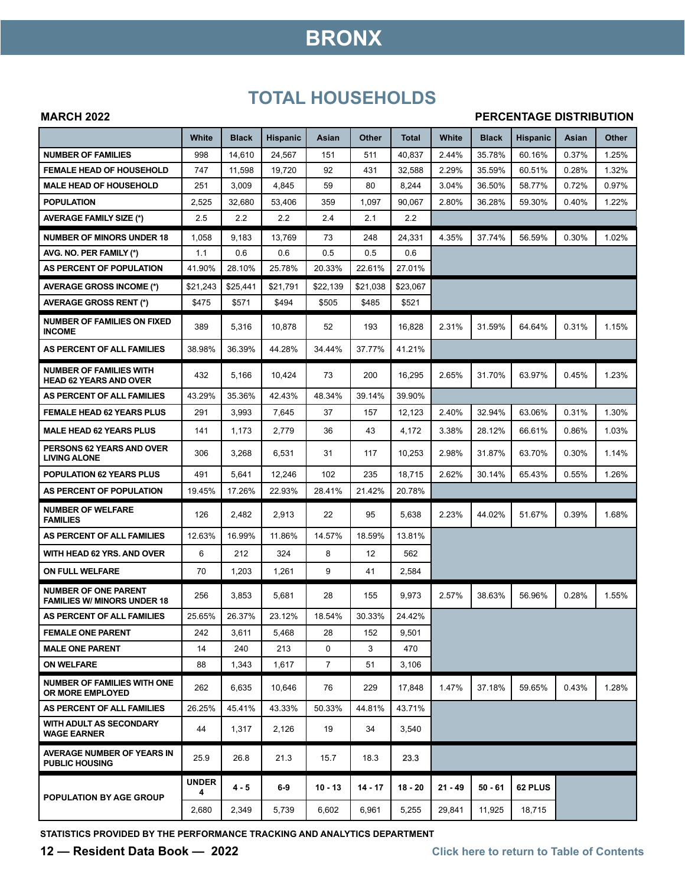## **BRONX**

### **TOTAL HOUSEHOLDS**

#### **MARCH 2022**

#### **PERCENTAGE DISTRIBUTION**

|                                                                   | White             | <b>Black</b> | <b>Hispanic</b> | Asian          | Other    | <b>Total</b> | White     | <b>Black</b> | <b>Hispanic</b> | Asian | Other |
|-------------------------------------------------------------------|-------------------|--------------|-----------------|----------------|----------|--------------|-----------|--------------|-----------------|-------|-------|
| <b>NUMBER OF FAMILIES</b>                                         | 998               | 14,610       | 24,567          | 151            | 511      | 40.837       | 2.44%     | 35.78%       | 60.16%          | 0.37% | 1.25% |
| <b>FEMALE HEAD OF HOUSEHOLD</b>                                   | 747               | 11,598       | 19,720          | 92             | 431      | 32,588       | 2.29%     | 35.59%       | 60.51%          | 0.28% | 1.32% |
| <b>MALE HEAD OF HOUSEHOLD</b>                                     | 251               | 3,009        | 4,845           | 59             | 80       | 8,244        | 3.04%     | 36.50%       | 58.77%          | 0.72% | 0.97% |
| <b>POPULATION</b>                                                 | 2,525             | 32,680       | 53,406          | 359            | 1,097    | 90,067       | 2.80%     | 36.28%       | 59.30%          | 0.40% | 1.22% |
| <b>AVERAGE FAMILY SIZE (*)</b>                                    | 2.5               | 2.2          | 2.2             | 2.4            | 2.1      | 2.2          |           |              |                 |       |       |
| <b>NUMBER OF MINORS UNDER 18</b>                                  | 1,058             | 9,183        | 13,769          | 73             | 248      | 24,331       | 4.35%     | 37.74%       | 56.59%          | 0.30% | 1.02% |
| AVG. NO. PER FAMILY (*)                                           | 1.1               | 0.6          | 0.6             | 0.5            | 0.5      | 0.6          |           |              |                 |       |       |
| AS PERCENT OF POPULATION                                          | 41.90%            | 28.10%       | 25.78%          | 20.33%         | 22.61%   | 27.01%       |           |              |                 |       |       |
| <b>AVERAGE GROSS INCOME (*)</b>                                   | \$21,243          | \$25.441     | \$21,791        | \$22,139       | \$21,038 | \$23,067     |           |              |                 |       |       |
| <b>AVERAGE GROSS RENT (*)</b>                                     | \$475             | \$571        | \$494           | \$505          | \$485    | \$521        |           |              |                 |       |       |
| <b>NUMBER OF FAMILIES ON FIXED</b><br><b>INCOME</b>               | 389               | 5,316        | 10,878          | 52             | 193      | 16,828       | 2.31%     | 31.59%       | 64.64%          | 0.31% | 1.15% |
| AS PERCENT OF ALL FAMILIES                                        | 38.98%            | 36.39%       | 44.28%          | 34.44%         | 37.77%   | 41.21%       |           |              |                 |       |       |
| <b>NUMBER OF FAMILIES WITH</b><br><b>HEAD 62 YEARS AND OVER</b>   | 432               | 5,166        | 10,424          | 73             | 200      | 16,295       | 2.65%     | 31.70%       | 63.97%          | 0.45% | 1.23% |
| AS PERCENT OF ALL FAMILIES                                        | 43.29%            | 35.36%       | 42.43%          | 48.34%         | 39.14%   | 39.90%       |           |              |                 |       |       |
| <b>FEMALE HEAD 62 YEARS PLUS</b>                                  | 291               | 3,993        | 7,645           | 37             | 157      | 12,123       | 2.40%     | 32.94%       | 63.06%          | 0.31% | 1.30% |
| <b>MALE HEAD 62 YEARS PLUS</b>                                    | 141               | 1,173        | 2,779           | 36             | 43       | 4,172        | 3.38%     | 28.12%       | 66.61%          | 0.86% | 1.03% |
| PERSONS 62 YEARS AND OVER<br><b>LIVING ALONE</b>                  | 306               | 3,268        | 6,531           | 31             | 117      | 10,253       | 2.98%     | 31.87%       | 63.70%          | 0.30% | 1.14% |
| <b>POPULATION 62 YEARS PLUS</b>                                   | 491               | 5,641        | 12,246          | 102            | 235      | 18,715       | 2.62%     | 30.14%       | 65.43%          | 0.55% | 1.26% |
| AS PERCENT OF POPULATION                                          | 19.45%            | 17.26%       | 22.93%          | 28.41%         | 21.42%   | 20.78%       |           |              |                 |       |       |
| <b>NUMBER OF WELFARE</b><br><b>FAMILIES</b>                       | 126               | 2,482        | 2,913           | 22             | 95       | 5,638        | 2.23%     | 44.02%       | 51.67%          | 0.39% | 1.68% |
| AS PERCENT OF ALL FAMILIES                                        | 12.63%            | 16.99%       | 11.86%          | 14.57%         | 18.59%   | 13.81%       |           |              |                 |       |       |
| WITH HEAD 62 YRS. AND OVER                                        | 6                 | 212          | 324             | 8              | 12       | 562          |           |              |                 |       |       |
| <b>ON FULL WELFARE</b>                                            | 70                | 1,203        | 1,261           | 9              | 41       | 2,584        |           |              |                 |       |       |
| <b>NUMBER OF ONE PARENT</b><br><b>FAMILIES W/ MINORS UNDER 18</b> | 256               | 3,853        | 5,681           | 28             | 155      | 9,973        | 2.57%     | 38.63%       | 56.96%          | 0.28% | 1.55% |
| AS PERCENT OF ALL FAMILIES                                        | 25.65%            | 26.37%       | 23.12%          | 18.54%         | 30.33%   | 24.42%       |           |              |                 |       |       |
| <b>FEMALE ONE PARENT</b>                                          | 242               | 3,611        | 5,468           | 28             | 152      | 9,501        |           |              |                 |       |       |
| <b>MALE ONE PARENT</b>                                            | 14                | 240          | 213             | 0              | 3        | 470          |           |              |                 |       |       |
| <b>ON WELFARE</b>                                                 | 88                | 1,343        | 1,617           | $\overline{7}$ | 51       | 3,106        |           |              |                 |       |       |
| <b>NUMBER OF FAMILIES WITH ONE</b><br><b>OR MORE EMPLOYED</b>     | 262               | 6,635        | 10,646          | 76             | 229      | 17,848       | 1.47%     | 37.18%       | 59.65%          | 0.43% | 1.28% |
| AS PERCENT OF ALL FAMILIES                                        | 26.25%            | 45.41%       | 43.33%          | 50.33%         | 44.81%   | 43.71%       |           |              |                 |       |       |
| WITH ADULT AS SECONDARY<br><b>WAGE EARNER</b>                     | 44                | 1,317        | 2,126           | 19             | 34       | 3,540        |           |              |                 |       |       |
| <b>AVERAGE NUMBER OF YEARS IN</b><br><b>PUBLIC HOUSING</b>        | 25.9              | 26.8         | 21.3            | 15.7           | 18.3     | 23.3         |           |              |                 |       |       |
| POPULATION BY AGE GROUP                                           | <b>UNDER</b><br>4 | 4 - 5        | 6-9             | $10 - 13$      | 14 - 17  | $18 - 20$    | $21 - 49$ | $50 - 61$    | 62 PLUS         |       |       |
|                                                                   | 2,680             | 2,349        | 5,739           | 6,602          | 6,961    | 5,255        | 29,841    | 11,925       | 18,715          |       |       |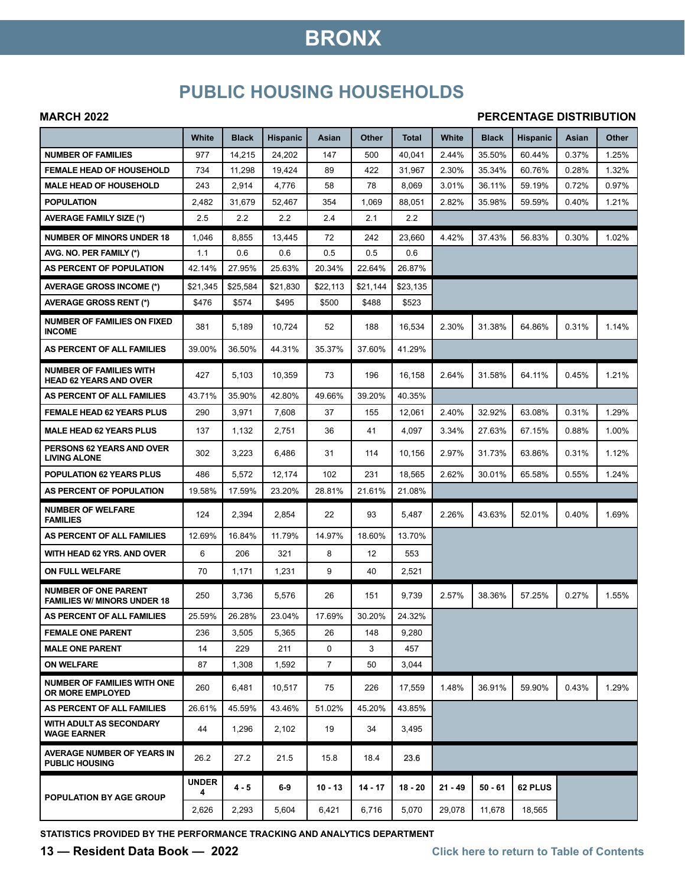## **BRONX**

### **PUBLIC HOUSING HOUSEHOLDS**

#### **MARCH 2022**

#### **PERCENTAGE DISTRIBUTION**

|                                                                   | White             | <b>Black</b> | <b>Hispanic</b> | Asian          | Other     | <b>Total</b> | White     | <b>Black</b> | <b>Hispanic</b> | Asian | Other |
|-------------------------------------------------------------------|-------------------|--------------|-----------------|----------------|-----------|--------------|-----------|--------------|-----------------|-------|-------|
| <b>NUMBER OF FAMILIES</b>                                         | 977               | 14,215       | 24,202          | 147            | 500       | 40,041       | 2.44%     | 35.50%       | 60.44%          | 0.37% | 1.25% |
| <b>FEMALE HEAD OF HOUSEHOLD</b>                                   | 734               | 11,298       | 19,424          | 89             | 422       | 31,967       | 2.30%     | 35.34%       | 60.76%          | 0.28% | 1.32% |
| <b>MALE HEAD OF HOUSEHOLD</b>                                     | 243               | 2,914        | 4,776           | 58             | 78        | 8,069        | 3.01%     | 36.11%       | 59.19%          | 0.72% | 0.97% |
| <b>POPULATION</b>                                                 | 2,482             | 31,679       | 52,467          | 354            | 1,069     | 88,051       | 2.82%     | 35.98%       | 59.59%          | 0.40% | 1.21% |
| <b>AVERAGE FAMILY SIZE (*)</b>                                    | 2.5               | 2.2          | 2.2             | 2.4            | 2.1       | 2.2          |           |              |                 |       |       |
| <b>NUMBER OF MINORS UNDER 18</b>                                  | 1,046             | 8,855        | 13,445          | 72             | 242       | 23,660       | 4.42%     | 37.43%       | 56.83%          | 0.30% | 1.02% |
| AVG. NO. PER FAMILY (*)                                           | 1.1               | 0.6          | 0.6             | 0.5            | 0.5       | 0.6          |           |              |                 |       |       |
| AS PERCENT OF POPULATION                                          | 42.14%            | 27.95%       | 25.63%          | 20.34%         | 22.64%    | 26.87%       |           |              |                 |       |       |
| <b>AVERAGE GROSS INCOME (*)</b>                                   | \$21,345          | \$25,584     | \$21,830        | \$22,113       | \$21,144  | \$23.135     |           |              |                 |       |       |
| <b>AVERAGE GROSS RENT (*)</b>                                     | \$476             | \$574        | \$495           | \$500          | \$488     | \$523        |           |              |                 |       |       |
| <b>NUMBER OF FAMILIES ON FIXED</b><br><b>INCOME</b>               | 381               | 5,189        | 10,724          | 52             | 188       | 16,534       | 2.30%     | 31.38%       | 64.86%          | 0.31% | 1.14% |
| AS PERCENT OF ALL FAMILIES                                        | 39.00%            | 36.50%       | 44.31%          | 35.37%         | 37.60%    | 41.29%       |           |              |                 |       |       |
| <b>NUMBER OF FAMILIES WITH</b><br><b>HEAD 62 YEARS AND OVER</b>   | 427               | 5,103        | 10,359          | 73             | 196       | 16,158       | 2.64%     | 31.58%       | 64.11%          | 0.45% | 1.21% |
| AS PERCENT OF ALL FAMILIES                                        | 43.71%            | 35.90%       | 42.80%          | 49.66%         | 39.20%    | 40.35%       |           |              |                 |       |       |
| <b>FEMALE HEAD 62 YEARS PLUS</b>                                  | 290               | 3,971        | 7,608           | 37             | 155       | 12,061       | 2.40%     | 32.92%       | 63.08%          | 0.31% | 1.29% |
| <b>MALE HEAD 62 YEARS PLUS</b>                                    | 137               | 1,132        | 2,751           | 36             | 41        | 4,097        | 3.34%     | 27.63%       | 67.15%          | 0.88% | 1.00% |
| PERSONS 62 YEARS AND OVER<br><b>LIVING ALONE</b>                  | 302               | 3,223        | 6,486           | 31             | 114       | 10,156       | 2.97%     | 31.73%       | 63.86%          | 0.31% | 1.12% |
| <b>POPULATION 62 YEARS PLUS</b>                                   | 486               | 5,572        | 12,174          | 102            | 231       | 18,565       | 2.62%     | 30.01%       | 65.58%          | 0.55% | 1.24% |
| AS PERCENT OF POPULATION                                          | 19.58%            | 17.59%       | 23.20%          | 28.81%         | 21.61%    | 21.08%       |           |              |                 |       |       |
| <b>NUMBER OF WELFARE</b><br><b>FAMILIES</b>                       | 124               | 2,394        | 2,854           | 22             | 93        | 5,487        | 2.26%     | 43.63%       | 52.01%          | 0.40% | 1.69% |
| AS PERCENT OF ALL FAMILIES                                        | 12.69%            | 16.84%       | 11.79%          | 14.97%         | 18.60%    | 13.70%       |           |              |                 |       |       |
| WITH HEAD 62 YRS. AND OVER                                        | 6                 | 206          | 321             | 8              | 12        | 553          |           |              |                 |       |       |
| ON FULL WELFARE                                                   | 70                | 1,171        | 1,231           | 9              | 40        | 2,521        |           |              |                 |       |       |
| <b>NUMBER OF ONE PARENT</b><br><b>FAMILIES W/ MINORS UNDER 18</b> | 250               | 3,736        | 5,576           | 26             | 151       | 9,739        | 2.57%     | 38.36%       | 57.25%          | 0.27% | 1.55% |
| AS PERCENT OF ALL FAMILIES                                        | 25.59%            | 26.28%       | 23.04%          | 17.69%         | 30.20%    | 24.32%       |           |              |                 |       |       |
| <b>FEMALE ONE PARENT</b>                                          | 236               | 3,505        | 5,365           | 26             | 148       | 9,280        |           |              |                 |       |       |
| <b>MALE ONE PARENT</b>                                            | 14                | 229          | 211             | $\mathbf 0$    | 3         | 457          |           |              |                 |       |       |
| <b>ON WELFARE</b>                                                 | 87                | 1,308        | 1,592           | $\overline{7}$ | 50        | 3,044        |           |              |                 |       |       |
| <b>NUMBER OF FAMILIES WITH ONE</b><br>OR MORE EMPLOYED            | 260               | 6,481        | 10.517          | 75             | 226       | 17,559       | 1.48%     | 36.91%       | 59.90%          | 0.43% | 1.29% |
| AS PERCENT OF ALL FAMILIES                                        | 26.61%            | 45.59%       | 43.46%          | 51.02%         | 45.20%    | 43.85%       |           |              |                 |       |       |
| <b>WITH ADULT AS SECONDARY</b><br><b>WAGE EARNER</b>              | 44                | 1,296        | 2,102           | 19             | 34        | 3,495        |           |              |                 |       |       |
| <b>AVERAGE NUMBER OF YEARS IN</b><br><b>PUBLIC HOUSING</b>        | 26.2              | 27.2         | 21.5            | 15.8           | 18.4      | 23.6         |           |              |                 |       |       |
| POPULATION BY AGE GROUP                                           | <b>UNDER</b><br>4 | $4 - 5$      | $6-9$           | $10 - 13$      | $14 - 17$ | $18 - 20$    | $21 - 49$ | 50 - 61      | 62 PLUS         |       |       |
|                                                                   | 2,626             | 2,293        | 5,604           | 6,421          | 6,716     | 5,070        | 29,078    | 11,678       | 18,565          |       |       |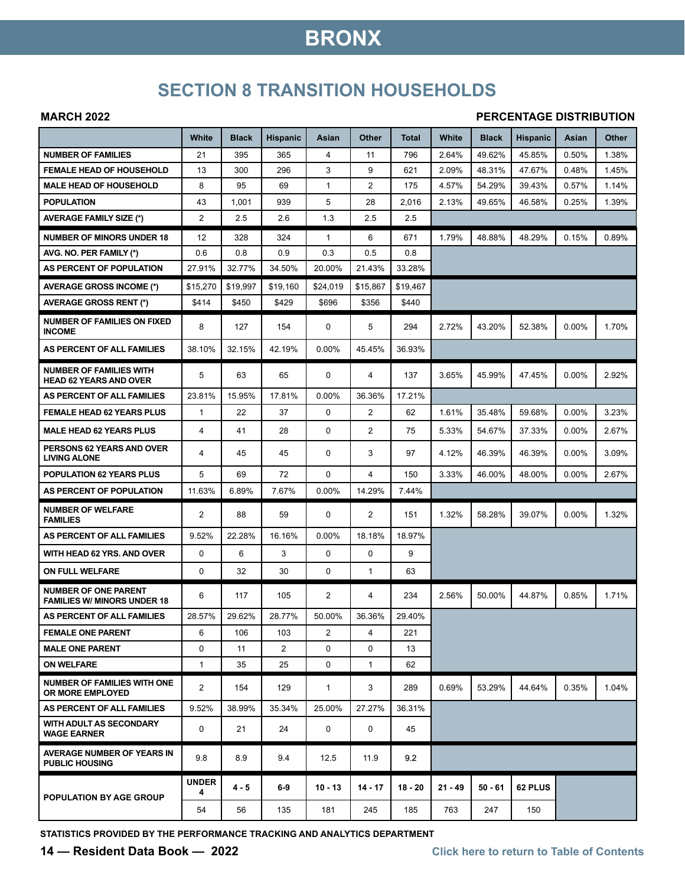## **BRONX**

## **SECTION 8 TRANSITION HOUSEHOLDS**

#### **MARCH 2022**

#### **PERCENTAGE DISTRIBUTION**

|                                                                   | White             | <b>Black</b> | <b>Hispanic</b> | Asian        | Other          | Total    | White     | <b>Black</b> | <b>Hispanic</b> | Asian    | Other |
|-------------------------------------------------------------------|-------------------|--------------|-----------------|--------------|----------------|----------|-----------|--------------|-----------------|----------|-------|
| <b>NUMBER OF FAMILIES</b>                                         | 21                | 395          | 365             | 4            | 11             | 796      | 2.64%     | 49.62%       | 45.85%          | 0.50%    | 1.38% |
| <b>FEMALE HEAD OF HOUSEHOLD</b>                                   | 13                | 300          | 296             | 3            | 9              | 621      | 2.09%     | 48.31%       | 47.67%          | 0.48%    | 1.45% |
| <b>MALE HEAD OF HOUSEHOLD</b>                                     | 8                 | 95           | 69              | 1            | $\overline{2}$ | 175      | 4.57%     | 54.29%       | 39.43%          | 0.57%    | 1.14% |
| <b>POPULATION</b>                                                 | 43                | 1,001        | 939             | 5            | 28             | 2,016    | 2.13%     | 49.65%       | 46.58%          | 0.25%    | 1.39% |
| <b>AVERAGE FAMILY SIZE (*)</b>                                    | $\overline{2}$    | 2.5          | 2.6             | 1.3          | 2.5            | 2.5      |           |              |                 |          |       |
| <b>NUMBER OF MINORS UNDER 18</b>                                  | 12                | 328          | 324             | $\mathbf{1}$ | 6              | 671      | 1.79%     | 48.88%       | 48.29%          | 0.15%    | 0.89% |
| AVG. NO. PER FAMILY (*)                                           | 0.6               | 0.8          | 0.9             | 0.3          | 0.5            | 0.8      |           |              |                 |          |       |
| AS PERCENT OF POPULATION                                          | 27.91%            | 32.77%       | 34.50%          | 20.00%       | 21.43%         | 33.28%   |           |              |                 |          |       |
| <b>AVERAGE GROSS INCOME (*)</b>                                   | \$15,270          | \$19,997     | \$19,160        | \$24,019     | \$15,867       | \$19,467 |           |              |                 |          |       |
| <b>AVERAGE GROSS RENT (*)</b>                                     | \$414             | \$450        | \$429           | \$696        | \$356          | \$440    |           |              |                 |          |       |
| <b>NUMBER OF FAMILIES ON FIXED</b><br><b>INCOME</b>               | 8                 | 127          | 154             | 0            | 5              | 294      | 2.72%     | 43.20%       | 52.38%          | 0.00%    | 1.70% |
| AS PERCENT OF ALL FAMILIES                                        | 38.10%            | 32.15%       | 42.19%          | 0.00%        | 45.45%         | 36.93%   |           |              |                 |          |       |
| <b>NUMBER OF FAMILIES WITH</b><br><b>HEAD 62 YEARS AND OVER</b>   | 5                 | 63           | 65              | 0            | 4              | 137      | 3.65%     | 45.99%       | 47.45%          | 0.00%    | 2.92% |
| AS PERCENT OF ALL FAMILIES                                        | 23.81%            | 15.95%       | 17.81%          | $0.00\%$     | 36.36%         | 17.21%   |           |              |                 |          |       |
| <b>FEMALE HEAD 62 YEARS PLUS</b>                                  | $\mathbf{1}$      | 22           | 37              | 0            | $\overline{2}$ | 62       | 1.61%     | 35.48%       | 59.68%          | $0.00\%$ | 3.23% |
| <b>MALE HEAD 62 YEARS PLUS</b>                                    | 4                 | 41           | 28              | 0            | 2              | 75       | 5.33%     | 54.67%       | 37.33%          | $0.00\%$ | 2.67% |
| PERSONS 62 YEARS AND OVER<br><b>LIVING ALONE</b>                  | 4                 | 45           | 45              | 0            | 3              | 97       | 4.12%     | 46.39%       | 46.39%          | $0.00\%$ | 3.09% |
| <b>POPULATION 62 YEARS PLUS</b>                                   | 5                 | 69           | 72              | 0            | 4              | 150      | 3.33%     | 46.00%       | 48.00%          | $0.00\%$ | 2.67% |
| AS PERCENT OF POPULATION                                          | 11.63%            | 6.89%        | 7.67%           | 0.00%        | 14.29%         | 7.44%    |           |              |                 |          |       |
| <b>NUMBER OF WELFARE</b><br><b>FAMILIES</b>                       | $\overline{2}$    | 88           | 59              | 0            | 2              | 151      | 1.32%     | 58.28%       | 39.07%          | 0.00%    | 1.32% |
| AS PERCENT OF ALL FAMILIES                                        | 9.52%             | 22.28%       | 16.16%          | 0.00%        | 18.18%         | 18.97%   |           |              |                 |          |       |
| WITH HEAD 62 YRS. AND OVER                                        | 0                 | 6            | 3               | 0            | $\mathbf 0$    | 9        |           |              |                 |          |       |
| ON FULL WELFARE                                                   | 0                 | 32           | 30              | 0            | $\mathbf{1}$   | 63       |           |              |                 |          |       |
| <b>NUMBER OF ONE PARENT</b><br><b>FAMILIES W/ MINORS UNDER 18</b> | 6                 | 117          | 105             | 2            | 4              | 234      | 2.56%     | 50.00%       | 44.87%          | 0.85%    | 1.71% |
| AS PERCENT OF ALL FAMILIES                                        | 28.57%            | 29.62%       | 28.77%          | 50.00%       | 36.36%         | 29.40%   |           |              |                 |          |       |
| <b>FEMALE ONE PARENT</b>                                          | 6                 | 106          | 103             | 2            | 4              | 221      |           |              |                 |          |       |
| <b>MALE ONE PARENT</b>                                            | 0                 | 11           | $\overline{2}$  | 0            | $\Omega$       | 13       |           |              |                 |          |       |
| <b>ON WELFARE</b>                                                 | $\mathbf{1}$      | 35           | 25              | 0            | $\mathbf{1}$   | 62       |           |              |                 |          |       |
| <b>NUMBER OF FAMILIES WITH ONE</b><br><b>OR MORE EMPLOYED</b>     | $\overline{2}$    | 154          | 129             | $\mathbf{1}$ | 3              | 289      | 0.69%     | 53.29%       | 44.64%          | 0.35%    | 1.04% |
| AS PERCENT OF ALL FAMILIES                                        | 9.52%             | 38.99%       | 35.34%          | 25.00%       | 27.27%         | 36.31%   |           |              |                 |          |       |
| WITH ADULT AS SECONDARY<br><b>WAGE EARNER</b>                     | 0                 | 21           | 24              | 0            | 0              | 45       |           |              |                 |          |       |
| <b>AVERAGE NUMBER OF YEARS IN</b><br><b>PUBLIC HOUSING</b>        | 9.8               | 8.9          | 9.4             | 12.5         | 11.9           | 9.2      |           |              |                 |          |       |
| POPULATION BY AGE GROUP                                           | <b>UNDER</b><br>4 | 4 - 5        | $6-9$           | $10 - 13$    | $14 - 17$      | 18 - 20  | $21 - 49$ | $50 - 61$    | 62 PLUS         |          |       |
|                                                                   | 54                | 56           | 135             | 181          | 245            | 185      | 763       | 247          | 150             |          |       |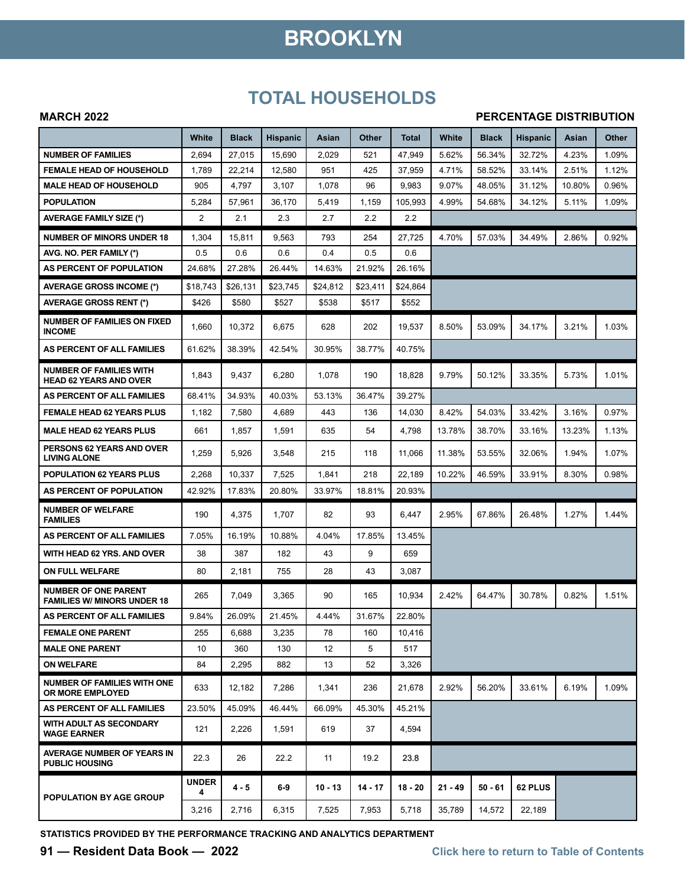# **BROOKLYN**

### **TOTAL HOUSEHOLDS**

#### **MARCH 2022**

#### **PERCENTAGE DISTRIBUTION**

|                                                                   | White             | <b>Black</b> | <b>Hispanic</b> | Asian     | Other     | <b>Total</b> | White     | <b>Black</b> | <b>Hispanic</b> | Asian  | Other |
|-------------------------------------------------------------------|-------------------|--------------|-----------------|-----------|-----------|--------------|-----------|--------------|-----------------|--------|-------|
| <b>NUMBER OF FAMILIES</b>                                         | 2,694             | 27,015       | 15,690          | 2,029     | 521       | 47,949       | 5.62%     | 56.34%       | 32.72%          | 4.23%  | 1.09% |
| <b>FEMALE HEAD OF HOUSEHOLD</b>                                   | 1,789             | 22,214       | 12,580          | 951       | 425       | 37,959       | 4.71%     | 58.52%       | 33.14%          | 2.51%  | 1.12% |
| <b>MALE HEAD OF HOUSEHOLD</b>                                     | 905               | 4,797        | 3,107           | 1,078     | 96        | 9,983        | 9.07%     | 48.05%       | 31.12%          | 10.80% | 0.96% |
| <b>POPULATION</b>                                                 | 5,284             | 57,961       | 36,170          | 5,419     | 1,159     | 105.993      | 4.99%     | 54.68%       | 34.12%          | 5.11%  | 1.09% |
| <b>AVERAGE FAMILY SIZE (*)</b>                                    | 2                 | 2.1          | 2.3             | 2.7       | 2.2       | 2.2          |           |              |                 |        |       |
| <b>NUMBER OF MINORS UNDER 18</b>                                  | 1,304             | 15,811       | 9,563           | 793       | 254       | 27,725       | 4.70%     | 57.03%       | 34.49%          | 2.86%  | 0.92% |
| AVG. NO. PER FAMILY (*)                                           | 0.5               | 0.6          | 0.6             | 0.4       | 0.5       | 0.6          |           |              |                 |        |       |
| AS PERCENT OF POPULATION                                          | 24.68%            | 27.28%       | 26.44%          | 14.63%    | 21.92%    | 26.16%       |           |              |                 |        |       |
| <b>AVERAGE GROSS INCOME (*)</b>                                   | \$18,743          | \$26,131     | \$23,745        | \$24,812  | \$23,411  | \$24,864     |           |              |                 |        |       |
| <b>AVERAGE GROSS RENT (*)</b>                                     | \$426             | \$580        | \$527           | \$538     | \$517     | \$552        |           |              |                 |        |       |
| <b>NUMBER OF FAMILIES ON FIXED</b><br><b>INCOME</b>               | 1,660             | 10,372       | 6,675           | 628       | 202       | 19,537       | 8.50%     | 53.09%       | 34.17%          | 3.21%  | 1.03% |
| AS PERCENT OF ALL FAMILIES                                        | 61.62%            | 38.39%       | 42.54%          | 30.95%    | 38.77%    | 40.75%       |           |              |                 |        |       |
| <b>NUMBER OF FAMILIES WITH</b><br><b>HEAD 62 YEARS AND OVER</b>   | 1,843             | 9,437        | 6,280           | 1,078     | 190       | 18,828       | 9.79%     | 50.12%       | 33.35%          | 5.73%  | 1.01% |
| AS PERCENT OF ALL FAMILIES                                        | 68.41%            | 34.93%       | 40.03%          | 53.13%    | 36.47%    | 39.27%       |           |              |                 |        |       |
| <b>FEMALE HEAD 62 YEARS PLUS</b>                                  | 1,182             | 7,580        | 4,689           | 443       | 136       | 14,030       | 8.42%     | 54.03%       | 33.42%          | 3.16%  | 0.97% |
| <b>MALE HEAD 62 YEARS PLUS</b>                                    | 661               | 1,857        | 1,591           | 635       | 54        | 4,798        | 13.78%    | 38.70%       | 33.16%          | 13.23% | 1.13% |
| PERSONS 62 YEARS AND OVER<br><b>LIVING ALONE</b>                  | 1,259             | 5,926        | 3,548           | 215       | 118       | 11,066       | 11.38%    | 53.55%       | 32.06%          | 1.94%  | 1.07% |
| POPULATION 62 YEARS PLUS                                          | 2,268             | 10,337       | 7,525           | 1,841     | 218       | 22,189       | 10.22%    | 46.59%       | 33.91%          | 8.30%  | 0.98% |
| AS PERCENT OF POPULATION                                          | 42.92%            | 17.83%       | 20.80%          | 33.97%    | 18.81%    | 20.93%       |           |              |                 |        |       |
| <b>NUMBER OF WELFARE</b><br><b>FAMILIES</b>                       | 190               | 4,375        | 1,707           | 82        | 93        | 6,447        | 2.95%     | 67.86%       | 26.48%          | 1.27%  | 1.44% |
| AS PERCENT OF ALL FAMILIES                                        | 7.05%             | 16.19%       | 10.88%          | 4.04%     | 17.85%    | 13.45%       |           |              |                 |        |       |
| WITH HEAD 62 YRS. AND OVER                                        | 38                | 387          | 182             | 43        | 9         | 659          |           |              |                 |        |       |
| ON FULL WELFARE                                                   | 80                | 2,181        | 755             | 28        | 43        | 3,087        |           |              |                 |        |       |
| <b>NUMBER OF ONE PARENT</b><br><b>FAMILIES W/ MINORS UNDER 18</b> | 265               | 7,049        | 3,365           | 90        | 165       | 10,934       | 2.42%     | 64.47%       | 30.78%          | 0.82%  | 1.51% |
| AS PERCENT OF ALL FAMILIES                                        | 9.84%             | 26.09%       | 21.45%          | 4.44%     | 31.67%    | 22.80%       |           |              |                 |        |       |
| <b>FEMALE ONE PARENT</b>                                          | 255               | 6,688        | 3,235           | 78        | 160       | 10,416       |           |              |                 |        |       |
| <b>MALE ONE PARENT</b>                                            | 10                | 360          | 130             | 12        | 5         | 517          |           |              |                 |        |       |
| <b>ON WELFARE</b>                                                 | 84                | 2,295        | 882             | 13        | 52        | 3,326        |           |              |                 |        |       |
| <b>NUMBER OF FAMILIES WITH ONE</b><br>OR MORE EMPLOYED            | 633               | 12.182       | 7,286           | 1,341     | 236       | 21,678       | 2.92%     | 56.20%       | 33.61%          | 6.19%  | 1.09% |
| AS PERCENT OF ALL FAMILIES                                        | 23.50%            | 45.09%       | 46.44%          | 66.09%    | 45.30%    | 45.21%       |           |              |                 |        |       |
| <b>WITH ADULT AS SECONDARY</b><br><b>WAGE EARNER</b>              | 121               | 2,226        | 1,591           | 619       | 37        | 4,594        |           |              |                 |        |       |
| <b>AVERAGE NUMBER OF YEARS IN</b><br><b>PUBLIC HOUSING</b>        | 22.3              | 26           | 22.2            | 11        | 19.2      | 23.8         |           |              |                 |        |       |
| POPULATION BY AGE GROUP                                           | <b>UNDER</b><br>4 | 4 - 5        | $6-9$           | $10 - 13$ | $14 - 17$ | 18 - 20      | $21 - 49$ | $50 - 61$    | 62 PLUS         |        |       |
|                                                                   | 3,216             | 2,716        | 6,315           | 7,525     | 7,953     | 5,718        | 35,789    | 14,572       | 22,189          |        |       |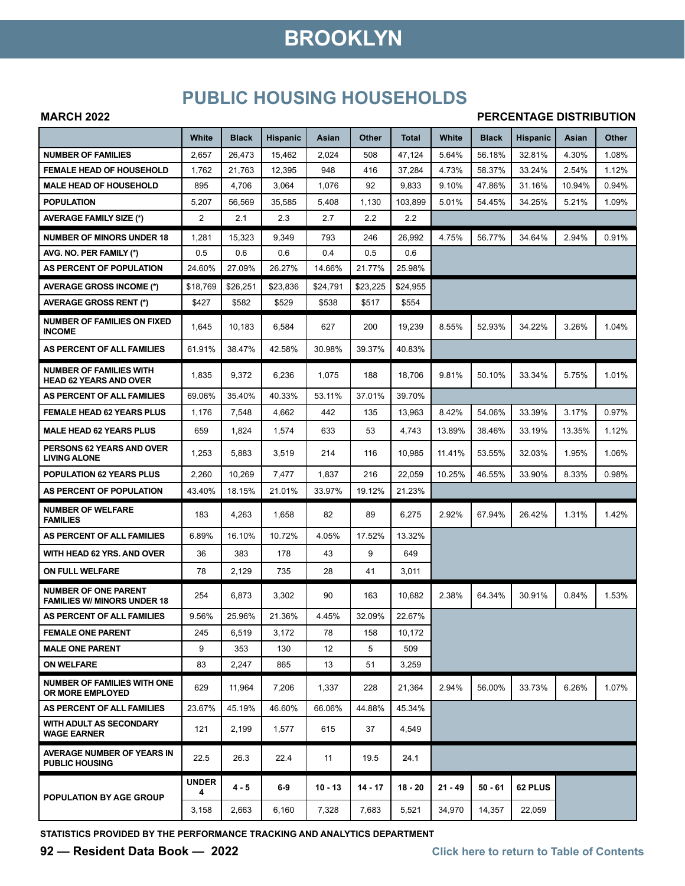## **BROOKLYN**

### **PUBLIC HOUSING HOUSEHOLDS**

#### **MARCH 2022**

#### **PERCENTAGE DISTRIBUTION**

|                                                                   | White             | <b>Black</b> | <b>Hispanic</b> | Asian     | Other     | Total     | White     | <b>Black</b> | <b>Hispanic</b> | Asian  | Other |
|-------------------------------------------------------------------|-------------------|--------------|-----------------|-----------|-----------|-----------|-----------|--------------|-----------------|--------|-------|
| <b>NUMBER OF FAMILIES</b>                                         | 2,657             | 26,473       | 15,462          | 2,024     | 508       | 47,124    | 5.64%     | 56.18%       | 32.81%          | 4.30%  | 1.08% |
| <b>FEMALE HEAD OF HOUSEHOLD</b>                                   | 1,762             | 21,763       | 12,395          | 948       | 416       | 37,284    | 4.73%     | 58.37%       | 33.24%          | 2.54%  | 1.12% |
| <b>MALE HEAD OF HOUSEHOLD</b>                                     | 895               | 4,706        | 3,064           | 1,076     | 92        | 9,833     | 9.10%     | 47.86%       | 31.16%          | 10.94% | 0.94% |
| <b>POPULATION</b>                                                 | 5,207             | 56,569       | 35,585          | 5,408     | 1,130     | 103,899   | 5.01%     | 54.45%       | 34.25%          | 5.21%  | 1.09% |
| <b>AVERAGE FAMILY SIZE (*)</b>                                    | 2                 | 2.1          | 2.3             | 2.7       | 2.2       | 2.2       |           |              |                 |        |       |
| <b>NUMBER OF MINORS UNDER 18</b>                                  | 1,281             | 15,323       | 9,349           | 793       | 246       | 26,992    | 4.75%     | 56.77%       | 34.64%          | 2.94%  | 0.91% |
| AVG. NO. PER FAMILY (*)                                           | 0.5               | 0.6          | 0.6             | 0.4       | 0.5       | 0.6       |           |              |                 |        |       |
| AS PERCENT OF POPULATION                                          | 24.60%            | 27.09%       | 26.27%          | 14.66%    | 21.77%    | 25.98%    |           |              |                 |        |       |
| AVERAGE GROSS INCOME (*)                                          | \$18,769          | \$26,251     | \$23,836        | \$24,791  | \$23,225  | \$24,955  |           |              |                 |        |       |
| <b>AVERAGE GROSS RENT (*)</b>                                     | \$427             | \$582        | \$529           | \$538     | \$517     | \$554     |           |              |                 |        |       |
| <b>NUMBER OF FAMILIES ON FIXED</b><br><b>INCOME</b>               | 1,645             | 10,183       | 6,584           | 627       | 200       | 19,239    | 8.55%     | 52.93%       | 34.22%          | 3.26%  | 1.04% |
| AS PERCENT OF ALL FAMILIES                                        | 61.91%            | 38.47%       | 42.58%          | 30.98%    | 39.37%    | 40.83%    |           |              |                 |        |       |
| <b>NUMBER OF FAMILIES WITH</b><br><b>HEAD 62 YEARS AND OVER</b>   | 1,835             | 9,372        | 6,236           | 1,075     | 188       | 18,706    | 9.81%     | 50.10%       | 33.34%          | 5.75%  | 1.01% |
| AS PERCENT OF ALL FAMILIES                                        | 69.06%            | 35.40%       | 40.33%          | 53.11%    | 37.01%    | 39.70%    |           |              |                 |        |       |
| <b>FEMALE HEAD 62 YEARS PLUS</b>                                  | 1,176             | 7,548        | 4,662           | 442       | 135       | 13,963    | 8.42%     | 54.06%       | 33.39%          | 3.17%  | 0.97% |
| <b>MALE HEAD 62 YEARS PLUS</b>                                    | 659               | 1,824        | 1,574           | 633       | 53        | 4,743     | 13.89%    | 38.46%       | 33.19%          | 13.35% | 1.12% |
| PERSONS 62 YEARS AND OVER<br><b>LIVING ALONE</b>                  | 1,253             | 5,883        | 3,519           | 214       | 116       | 10,985    | 11.41%    | 53.55%       | 32.03%          | 1.95%  | 1.06% |
| <b>POPULATION 62 YEARS PLUS</b>                                   | 2,260             | 10,269       | 7,477           | 1,837     | 216       | 22,059    | 10.25%    | 46.55%       | 33.90%          | 8.33%  | 0.98% |
| AS PERCENT OF POPULATION                                          | 43.40%            | 18.15%       | 21.01%          | 33.97%    | 19.12%    | 21.23%    |           |              |                 |        |       |
| <b>NUMBER OF WELFARE</b><br><b>FAMILIES</b>                       | 183               | 4,263        | 1,658           | 82        | 89        | 6,275     | 2.92%     | 67.94%       | 26.42%          | 1.31%  | 1.42% |
| AS PERCENT OF ALL FAMILIES                                        | 6.89%             | 16.10%       | 10.72%          | 4.05%     | 17.52%    | 13.32%    |           |              |                 |        |       |
| WITH HEAD 62 YRS. AND OVER                                        | 36                | 383          | 178             | 43        | 9         | 649       |           |              |                 |        |       |
| <b>ON FULL WELFARE</b>                                            | 78                | 2,129        | 735             | 28        | 41        | 3,011     |           |              |                 |        |       |
| <b>NUMBER OF ONE PARENT</b><br><b>FAMILIES W/ MINORS UNDER 18</b> | 254               | 6,873        | 3,302           | 90        | 163       | 10,682    | 2.38%     | 64.34%       | 30.91%          | 0.84%  | 1.53% |
| AS PERCENT OF ALL FAMILIES                                        | 9.56%             | 25.96%       | 21.36%          | 4.45%     | 32.09%    | 22.67%    |           |              |                 |        |       |
| <b>FEMALE ONE PARENT</b>                                          | 245               | 6,519        | 3,172           | 78        | 158       | 10.172    |           |              |                 |        |       |
| <b>MALE ONE PARENT</b>                                            | 9                 | 353          | 130             | 12        | 5         | 509       |           |              |                 |        |       |
| <b>ON WELFARE</b>                                                 | 83                | 2,247        | 865             | 13        | 51        | 3,259     |           |              |                 |        |       |
| <b>NUMBER OF FAMILIES WITH ONE</b><br>OR MORE EMPLOYED            | 629               | 11,964       | 7,206           | 1,337     | 228       | 21,364    | 2.94%     | 56.00%       | 33.73%          | 6.26%  | 1.07% |
| AS PERCENT OF ALL FAMILIES                                        | 23.67%            | 45.19%       | 46.60%          | 66.06%    | 44.88%    | 45.34%    |           |              |                 |        |       |
| WITH ADULT AS SECONDARY<br><b>WAGE EARNER</b>                     | 121               | 2,199        | 1,577           | 615       | 37        | 4,549     |           |              |                 |        |       |
| <b>AVERAGE NUMBER OF YEARS IN</b><br><b>PUBLIC HOUSING</b>        | 22.5              | 26.3         | 22.4            | 11        | 19.5      | 24.1      |           |              |                 |        |       |
| POPULATION BY AGE GROUP                                           | <b>UNDER</b><br>4 | $4 - 5$      | $6-9$           | $10 - 13$ | $14 - 17$ | $18 - 20$ | $21 - 49$ | 50 - 61      | 62 PLUS         |        |       |
|                                                                   | 3,158             | 2,663        | 6,160           | 7,328     | 7,683     | 5,521     | 34,970    | 14,357       | 22,059          |        |       |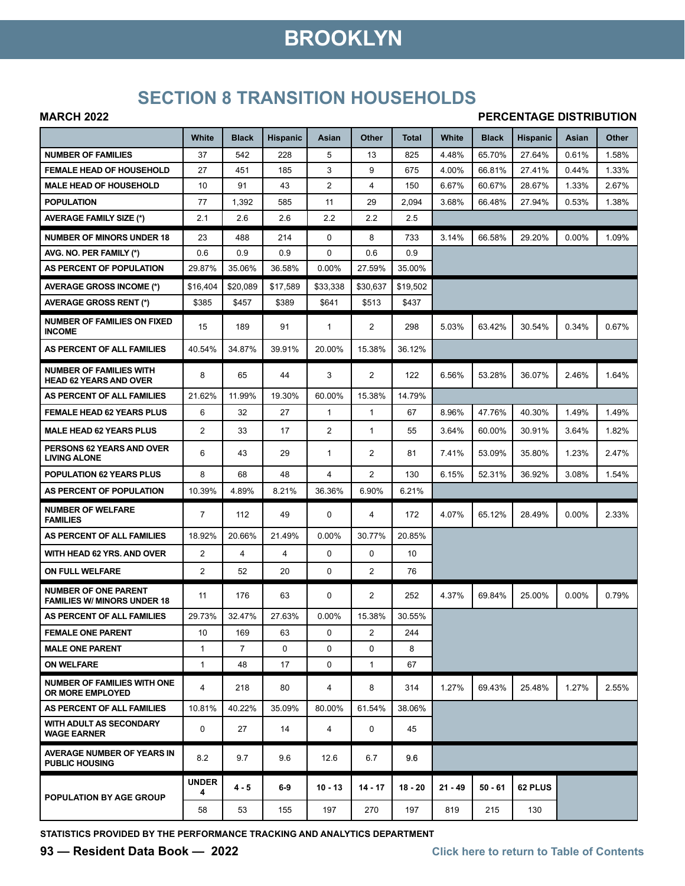# **BROOKLYN**

### **SECTION 8 TRANSITION HOUSEHOLDS**

#### **MARCH 2022**

#### **PERCENTAGE DISTRIBUTION**

|                                                                   | White             | <b>Black</b>   | <b>Hispanic</b> | Asian          | Other          | Total     | White     | <b>Black</b> | <b>Hispanic</b> | Asian    | Other |
|-------------------------------------------------------------------|-------------------|----------------|-----------------|----------------|----------------|-----------|-----------|--------------|-----------------|----------|-------|
| <b>NUMBER OF FAMILIES</b>                                         | 37                | 542            | 228             | 5              | 13             | 825       | 4.48%     | 65.70%       | 27.64%          | 0.61%    | 1.58% |
| <b>FEMALE HEAD OF HOUSEHOLD</b>                                   | 27                | 451            | 185             | 3              | 9              | 675       | 4.00%     | 66.81%       | 27.41%          | 0.44%    | 1.33% |
| <b>MALE HEAD OF HOUSEHOLD</b>                                     | 10                | 91             | 43              | $\overline{2}$ | 4              | 150       | 6.67%     | 60.67%       | 28.67%          | 1.33%    | 2.67% |
| <b>POPULATION</b>                                                 | 77                | 1,392          | 585             | 11             | 29             | 2,094     | 3.68%     | 66.48%       | 27.94%          | 0.53%    | 1.38% |
| <b>AVERAGE FAMILY SIZE (*)</b>                                    | 2.1               | 2.6            | 2.6             | 2.2            | 2.2            | 2.5       |           |              |                 |          |       |
| <b>NUMBER OF MINORS UNDER 18</b>                                  | 23                | 488            | 214             | 0              | 8              | 733       | 3.14%     | 66.58%       | 29.20%          | 0.00%    | 1.09% |
| AVG. NO. PER FAMILY (*)                                           | 0.6               | 0.9            | 0.9             | 0              | 0.6            | 0.9       |           |              |                 |          |       |
| AS PERCENT OF POPULATION                                          | 29.87%            | 35.06%         | 36.58%          | 0.00%          | 27.59%         | 35.00%    |           |              |                 |          |       |
| <b>AVERAGE GROSS INCOME (*)</b>                                   | \$16,404          | \$20,089       | \$17,589        | \$33.338       | \$30,637       | \$19,502  |           |              |                 |          |       |
| <b>AVERAGE GROSS RENT (*)</b>                                     | \$385             | \$457          | \$389           | \$641          | \$513          | \$437     |           |              |                 |          |       |
| <b>NUMBER OF FAMILIES ON FIXED</b><br><b>INCOME</b>               | 15                | 189            | 91              | 1              | $\overline{2}$ | 298       | 5.03%     | 63.42%       | 30.54%          | 0.34%    | 0.67% |
| AS PERCENT OF ALL FAMILIES                                        | 40.54%            | 34.87%         | 39.91%          | 20.00%         | 15.38%         | 36.12%    |           |              |                 |          |       |
| <b>NUMBER OF FAMILIES WITH</b><br><b>HEAD 62 YEARS AND OVER</b>   | 8                 | 65             | 44              | 3              | $\overline{2}$ | 122       | 6.56%     | 53.28%       | 36.07%          | 2.46%    | 1.64% |
| AS PERCENT OF ALL FAMILIES                                        | 21.62%            | 11.99%         | 19.30%          | 60.00%         | 15.38%         | 14.79%    |           |              |                 |          |       |
| FEMALE HEAD 62 YEARS PLUS                                         | 6                 | 32             | 27              | $\mathbf{1}$   | $\mathbf{1}$   | 67        | 8.96%     | 47.76%       | 40.30%          | 1.49%    | 1.49% |
| <b>MALE HEAD 62 YEARS PLUS</b>                                    | 2                 | 33             | 17              | $\overline{2}$ | $\mathbf{1}$   | 55        | 3.64%     | 60.00%       | 30.91%          | 3.64%    | 1.82% |
| <b>PERSONS 62 YEARS AND OVER</b><br><b>LIVING ALONE</b>           | 6                 | 43             | 29              | $\mathbf{1}$   | 2              | 81        | 7.41%     | 53.09%       | 35.80%          | 1.23%    | 2.47% |
| <b>POPULATION 62 YEARS PLUS</b>                                   | 8                 | 68             | 48              | 4              | $\overline{2}$ | 130       | 6.15%     | 52.31%       | 36.92%          | 3.08%    | 1.54% |
| AS PERCENT OF POPULATION                                          | 10.39%            | 4.89%          | 8.21%           | 36.36%         | 6.90%          | 6.21%     |           |              |                 |          |       |
| <b>NUMBER OF WELFARE</b><br><b>FAMILIES</b>                       | 7                 | 112            | 49              | 0              | 4              | 172       | 4.07%     | 65.12%       | 28.49%          | $0.00\%$ | 2.33% |
| AS PERCENT OF ALL FAMILIES                                        | 18.92%            | 20.66%         | 21.49%          | 0.00%          | 30.77%         | 20.85%    |           |              |                 |          |       |
| WITH HEAD 62 YRS. AND OVER                                        | 2                 | 4              | 4               | 0              | 0              | 10        |           |              |                 |          |       |
| <b>ON FULL WELFARE</b>                                            | 2                 | 52             | 20              | 0              | $\overline{2}$ | 76        |           |              |                 |          |       |
| <b>NUMBER OF ONE PARENT</b><br><b>FAMILIES W/ MINORS UNDER 18</b> | 11                | 176            | 63              | 0              | $\overline{2}$ | 252       | 4.37%     | 69.84%       | 25.00%          | 0.00%    | 0.79% |
| AS PERCENT OF ALL FAMILIES                                        | 29.73%            | 32.47%         | 27.63%          | 0.00%          | 15.38%         | 30.55%    |           |              |                 |          |       |
| <b>FEMALE ONE PARENT</b>                                          | 10                | 169            | 63              | 0              | $\overline{2}$ | 244       |           |              |                 |          |       |
| <b>MALE ONE PARENT</b>                                            | 1                 | $\overline{7}$ | 0               | 0              | $\Omega$       | 8         |           |              |                 |          |       |
| <b>ON WELFARE</b>                                                 | $\mathbf{1}$      | 48             | 17              | 0              | $\mathbf{1}$   | 67        |           |              |                 |          |       |
| <b>NUMBER OF FAMILIES WITH ONE</b><br>OR MORE EMPLOYED            | 4                 | 218            | 80              | 4              | 8              | 314       | 1.27%     | 69.43%       | 25.48%          | 1.27%    | 2.55% |
| AS PERCENT OF ALL FAMILIES                                        | 10.81%            | 40.22%         | 35.09%          | 80.00%         | 61.54%         | 38.06%    |           |              |                 |          |       |
| <b>WITH ADULT AS SECONDARY</b><br><b>WAGE EARNER</b>              | 0                 | 27             | 14              | 4              | 0              | 45        |           |              |                 |          |       |
| AVERAGE NUMBER OF YEARS IN<br><b>PUBLIC HOUSING</b>               | 8.2               | 9.7            | 9.6             | 12.6           | 6.7            | 9.6       |           |              |                 |          |       |
| POPULATION BY AGE GROUP                                           | <b>UNDER</b><br>4 | 4 - 5          | $6-9$           | $10 - 13$      | $14 - 17$      | $18 - 20$ | $21 - 49$ | $50 - 61$    | 62 PLUS         |          |       |
|                                                                   | 58                | 53             | 155             | 197            | 270            | 197       | 819       | 215          | 130             |          |       |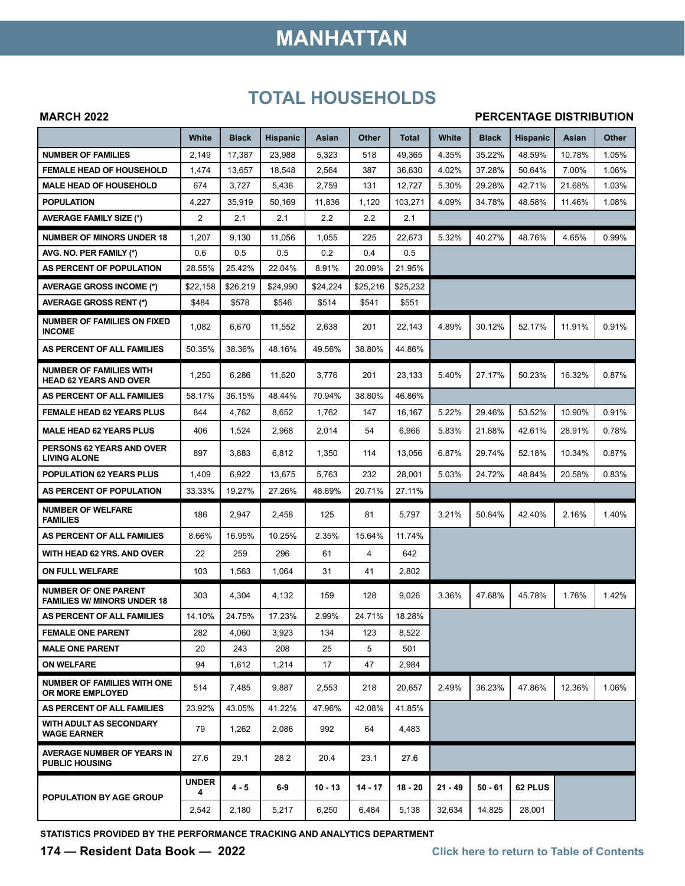# **MANHATTAN**

### **TOTAL HOUSEHOLDS**

#### **MARCH 2022**

#### **PERCENTAGE DISTRIBUTION**

|                                                                   | White             | <b>Black</b> | <b>Hispanic</b> | Asian     | Other     | Total     | White     | <b>Black</b> | <b>Hispanic</b> | Asian  | Other |
|-------------------------------------------------------------------|-------------------|--------------|-----------------|-----------|-----------|-----------|-----------|--------------|-----------------|--------|-------|
| <b>NUMBER OF FAMILIES</b>                                         | 2,149             | 17,387       | 23,988          | 5,323     | 518       | 49,365    | 4.35%     | 35.22%       | 48.59%          | 10.78% | 1.05% |
| <b>FEMALE HEAD OF HOUSEHOLD</b>                                   | 1,474             | 13,657       | 18,548          | 2,564     | 387       | 36,630    | 4.02%     | 37.28%       | 50.64%          | 7.00%  | 1.06% |
| <b>MALE HEAD OF HOUSEHOLD</b>                                     | 674               | 3,727        | 5,436           | 2,759     | 131       | 12,727    | 5.30%     | 29.28%       | 42.71%          | 21.68% | 1.03% |
| <b>POPULATION</b>                                                 | 4,227             | 35,919       | 50,169          | 11,836    | 1,120     | 103,271   | 4.09%     | 34.78%       | 48.58%          | 11.46% | 1.08% |
| <b>AVERAGE FAMILY SIZE (*)</b>                                    | 2                 | 2.1          | 2.1             | 2.2       | 2.2       | 2.1       |           |              |                 |        |       |
| <b>NUMBER OF MINORS UNDER 18</b>                                  | 1,207             | 9,130        | 11,056          | 1,055     | 225       | 22,673    | 5.32%     | 40.27%       | 48.76%          | 4.65%  | 0.99% |
| AVG. NO. PER FAMILY (*)                                           | 0.6               | 0.5          | 0.5             | 0.2       | 0.4       | 0.5       |           |              |                 |        |       |
| AS PERCENT OF POPULATION                                          | 28.55%            | 25.42%       | 22.04%          | 8.91%     | 20.09%    | 21.95%    |           |              |                 |        |       |
| <b>AVERAGE GROSS INCOME (*)</b>                                   | \$22,158          | \$26,219     | \$24,990        | \$24,224  | \$25.216  | \$25,232  |           |              |                 |        |       |
| <b>AVERAGE GROSS RENT (*)</b>                                     | \$484             | \$578        | \$546           | \$514     | \$541     | \$551     |           |              |                 |        |       |
| <b>NUMBER OF FAMILIES ON FIXED</b><br><b>INCOME</b>               | 1,082             | 6,670        | 11,552          | 2,638     | 201       | 22,143    | 4.89%     | 30.12%       | 52.17%          | 11.91% | 0.91% |
| AS PERCENT OF ALL FAMILIES                                        | 50.35%            | 38.36%       | 48.16%          | 49.56%    | 38.80%    | 44.86%    |           |              |                 |        |       |
| <b>NUMBER OF FAMILIES WITH</b><br><b>HEAD 62 YEARS AND OVER</b>   | 1,250             | 6,286        | 11,620          | 3,776     | 201       | 23,133    | 5.40%     | 27.17%       | 50.23%          | 16.32% | 0.87% |
| AS PERCENT OF ALL FAMILIES                                        | 58.17%            | 36.15%       | 48.44%          | 70.94%    | 38.80%    | 46.86%    |           |              |                 |        |       |
| <b>FEMALE HEAD 62 YEARS PLUS</b>                                  | 844               | 4,762        | 8,652           | 1,762     | 147       | 16,167    | 5.22%     | 29.46%       | 53.52%          | 10.90% | 0.91% |
| <b>MALE HEAD 62 YEARS PLUS</b>                                    | 406               | 1,524        | 2,968           | 2,014     | 54        | 6,966     | 5.83%     | 21.88%       | 42.61%          | 28.91% | 0.78% |
| <b>PERSONS 62 YEARS AND OVER</b><br><b>LIVING ALONE</b>           | 897               | 3,883        | 6,812           | 1,350     | 114       | 13,056    | 6.87%     | 29.74%       | 52.18%          | 10.34% | 0.87% |
| <b>POPULATION 62 YEARS PLUS</b>                                   | 1,409             | 6,922        | 13,675          | 5,763     | 232       | 28,001    | 5.03%     | 24.72%       | 48.84%          | 20.58% | 0.83% |
| AS PERCENT OF POPULATION                                          | 33.33%            | 19.27%       | 27.26%          | 48.69%    | 20.71%    | 27.11%    |           |              |                 |        |       |
| <b>NUMBER OF WELFARE</b><br><b>FAMILIES</b>                       | 186               | 2,947        | 2,458           | 125       | 81        | 5,797     | 3.21%     | 50.84%       | 42.40%          | 2.16%  | 1.40% |
| AS PERCENT OF ALL FAMILIES                                        | 8.66%             | 16.95%       | 10.25%          | 2.35%     | 15.64%    | 11.74%    |           |              |                 |        |       |
| WITH HEAD 62 YRS. AND OVER                                        | 22                | 259          | 296             | 61        | 4         | 642       |           |              |                 |        |       |
| ON FULL WELFARE                                                   | 103               | 1,563        | 1,064           | 31        | 41        | 2,802     |           |              |                 |        |       |
| <b>NUMBER OF ONE PARENT</b><br><b>FAMILIES W/ MINORS UNDER 18</b> | 303               | 4,304        | 4,132           | 159       | 128       | 9,026     | 3.36%     | 47.68%       | 45.78%          | 1.76%  | 1.42% |
| AS PERCENT OF ALL FAMILIES                                        | 14.10%            | 24.75%       | 17.23%          | 2.99%     | 24.71%    | 18.28%    |           |              |                 |        |       |
| <b>FEMALE ONE PARENT</b>                                          | 282               | 4,060        | 3,923           | 134       | 123       | 8,522     |           |              |                 |        |       |
| <b>MALE ONE PARENT</b>                                            | 20                | 243          | 208             | 25        | 5         | 501       |           |              |                 |        |       |
| <b>ON WELFARE</b>                                                 | 94                | 1,612        | 1,214           | 17        | 47        | 2,984     |           |              |                 |        |       |
| <b>NUMBER OF FAMILIES WITH ONE</b><br>OR MORE EMPLOYED            | 514               | 7,485        | 9,887           | 2,553     | 218       | 20,657    | 2.49%     | 36.23%       | 47.86%          | 12.36% | 1.06% |
| AS PERCENT OF ALL FAMILIES                                        | 23.92%            | 43.05%       | 41.22%          | 47.96%    | 42.08%    | 41.85%    |           |              |                 |        |       |
| WITH ADULT AS SECONDARY<br><b>WAGE EARNER</b>                     | 79                | 1,262        | 2,086           | 992       | 64        | 4,483     |           |              |                 |        |       |
| AVERAGE NUMBER OF YEARS IN<br><b>PUBLIC HOUSING</b>               | 27.6              | 29.1         | 28.2            | 20.4      | 23.1      | 27.6      |           |              |                 |        |       |
| POPULATION BY AGE GROUP                                           | <b>UNDER</b><br>4 | $4 - 5$      | $6-9$           | $10 - 13$ | $14 - 17$ | $18 - 20$ | $21 - 49$ | 50 - 61      | 62 PLUS         |        |       |
|                                                                   | 2,542             | 2,180        | 5,217           | 6,250     | 6,484     | 5,138     | 32,634    | 14,825       | 28,001          |        |       |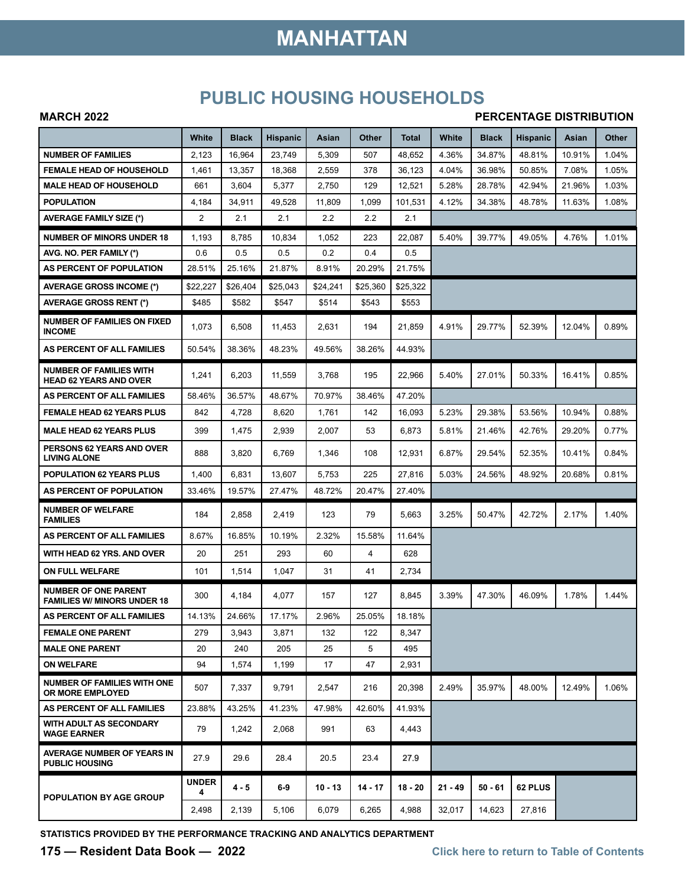# **MANHATTAN**

### **PUBLIC HOUSING HOUSEHOLDS**

#### **MARCH 2022**

#### **PERCENTAGE DISTRIBUTION**

|                                                                   | White             | <b>Black</b> | <b>Hispanic</b> | Asian     | Other     | <b>Total</b> | White     | <b>Black</b> | <b>Hispanic</b> | Asian  | Other    |
|-------------------------------------------------------------------|-------------------|--------------|-----------------|-----------|-----------|--------------|-----------|--------------|-----------------|--------|----------|
| <b>NUMBER OF FAMILIES</b>                                         | 2,123             | 16,964       | 23,749          | 5,309     | 507       | 48,652       | 4.36%     | 34.87%       | 48.81%          | 10.91% | 1.04%    |
| <b>FEMALE HEAD OF HOUSEHOLD</b>                                   | 1,461             | 13,357       | 18,368          | 2,559     | 378       | 36,123       | 4.04%     | 36.98%       | 50.85%          | 7.08%  | 1.05%    |
| <b>MALE HEAD OF HOUSEHOLD</b>                                     | 661               | 3,604        | 5,377           | 2,750     | 129       | 12,521       | 5.28%     | 28.78%       | 42.94%          | 21.96% | 1.03%    |
| <b>POPULATION</b>                                                 | 4,184             | 34,911       | 49,528          | 11,809    | 1,099     | 101,531      | 4.12%     | 34.38%       | 48.78%          | 11.63% | 1.08%    |
| <b>AVERAGE FAMILY SIZE (*)</b>                                    | 2                 | 2.1          | 2.1             | 2.2       | 2.2       | 2.1          |           |              |                 |        |          |
| <b>NUMBER OF MINORS UNDER 18</b>                                  | 1,193             | 8,785        | 10,834          | 1,052     | 223       | 22.087       | 5.40%     | 39.77%       | 49.05%          | 4.76%  | 1.01%    |
| AVG. NO. PER FAMILY (*)                                           | 0.6               | 0.5          | 0.5             | 0.2       | 0.4       | 0.5          |           |              |                 |        |          |
| AS PERCENT OF POPULATION                                          | 28.51%            | 25.16%       | 21.87%          | 8.91%     | 20.29%    | 21.75%       |           |              |                 |        |          |
| <b>AVERAGE GROSS INCOME (*)</b>                                   | \$22.227          | \$26,404     | \$25,043        | \$24,241  | \$25.360  | \$25,322     |           |              |                 |        |          |
| <b>AVERAGE GROSS RENT (*)</b>                                     | \$485             | \$582        | \$547           | \$514     | \$543     | \$553        |           |              |                 |        |          |
| <b>NUMBER OF FAMILIES ON FIXED</b><br><b>INCOME</b>               | 1,073             | 6,508        | 11,453          | 2,631     | 194       | 21,859       | 4.91%     | 29.77%       | 52.39%          | 12.04% | 0.89%    |
| AS PERCENT OF ALL FAMILIES                                        | 50.54%            | 38.36%       | 48.23%          | 49.56%    | 38.26%    | 44.93%       |           |              |                 |        |          |
| <b>NUMBER OF FAMILIES WITH</b><br><b>HEAD 62 YEARS AND OVER</b>   | 1,241             | 6,203        | 11,559          | 3,768     | 195       | 22,966       | 5.40%     | 27.01%       | 50.33%          | 16.41% | $0.85\%$ |
| AS PERCENT OF ALL FAMILIES                                        | 58.46%            | 36.57%       | 48.67%          | 70.97%    | 38.46%    | 47.20%       |           |              |                 |        |          |
| <b>FEMALE HEAD 62 YEARS PLUS</b>                                  | 842               | 4,728        | 8,620           | 1,761     | 142       | 16,093       | 5.23%     | 29.38%       | 53.56%          | 10.94% | 0.88%    |
| <b>MALE HEAD 62 YEARS PLUS</b>                                    | 399               | 1,475        | 2,939           | 2,007     | 53        | 6,873        | 5.81%     | 21.46%       | 42.76%          | 29.20% | 0.77%    |
| PERSONS 62 YEARS AND OVER<br><b>LIVING ALONE</b>                  | 888               | 3,820        | 6,769           | 1,346     | 108       | 12,931       | 6.87%     | 29.54%       | 52.35%          | 10.41% | 0.84%    |
| POPULATION 62 YEARS PLUS                                          | 1,400             | 6,831        | 13,607          | 5,753     | 225       | 27,816       | 5.03%     | 24.56%       | 48.92%          | 20.68% | 0.81%    |
| AS PERCENT OF POPULATION                                          | 33.46%            | 19.57%       | 27.47%          | 48.72%    | 20.47%    | 27.40%       |           |              |                 |        |          |
| <b>NUMBER OF WELFARE</b><br><b>FAMILIES</b>                       | 184               | 2,858        | 2,419           | 123       | 79        | 5,663        | 3.25%     | 50.47%       | 42.72%          | 2.17%  | 1.40%    |
| AS PERCENT OF ALL FAMILIES                                        | 8.67%             | 16.85%       | 10.19%          | 2.32%     | 15.58%    | 11.64%       |           |              |                 |        |          |
| WITH HEAD 62 YRS. AND OVER                                        | 20                | 251          | 293             | 60        | 4         | 628          |           |              |                 |        |          |
| ON FULL WELFARE                                                   | 101               | 1,514        | 1,047           | 31        | 41        | 2,734        |           |              |                 |        |          |
| <b>NUMBER OF ONE PARENT</b><br><b>FAMILIES W/ MINORS UNDER 18</b> | 300               | 4,184        | 4,077           | 157       | 127       | 8,845        | 3.39%     | 47.30%       | 46.09%          | 1.78%  | 1.44%    |
| AS PERCENT OF ALL FAMILIES                                        | 14.13%            | 24.66%       | 17.17%          | 2.96%     | 25.05%    | 18.18%       |           |              |                 |        |          |
| <b>FEMALE ONE PARENT</b>                                          | 279               | 3,943        | 3,871           | 132       | 122       | 8,347        |           |              |                 |        |          |
| <b>MALE ONE PARENT</b>                                            | 20                | 240          | 205             | 25        | 5         | 495          |           |              |                 |        |          |
| <b>ON WELFARE</b>                                                 | 94                | 1,574        | 1,199           | 17        | 47        | 2,931        |           |              |                 |        |          |
| <b>NUMBER OF FAMILIES WITH ONE</b><br><b>OR MORE EMPLOYED</b>     | 507               | 7,337        | 9,791           | 2,547     | 216       | 20,398       | 2.49%     | 35.97%       | 48.00%          | 12.49% | 1.06%    |
| AS PERCENT OF ALL FAMILIES                                        | 23.88%            | 43.25%       | 41.23%          | 47.98%    | 42.60%    | 41.93%       |           |              |                 |        |          |
| WITH ADULT AS SECONDARY<br><b>WAGE EARNER</b>                     | 79                | 1,242        | 2,068           | 991       | 63        | 4,443        |           |              |                 |        |          |
| <b>AVERAGE NUMBER OF YEARS IN</b><br><b>PUBLIC HOUSING</b>        | 27.9              | 29.6         | 28.4            | 20.5      | 23.4      | 27.9         |           |              |                 |        |          |
| <b>POPULATION BY AGE GROUP</b>                                    | <b>UNDER</b><br>4 | 4 - 5        | $6-9$           | $10 - 13$ | $14 - 17$ | $18 - 20$    | $21 - 49$ | 50 - 61      | 62 PLUS         |        |          |
|                                                                   | 2,498             | 2,139        | 5,106           | 6,079     | 6,265     | 4,988        | 32,017    | 14,623       | 27,816          |        |          |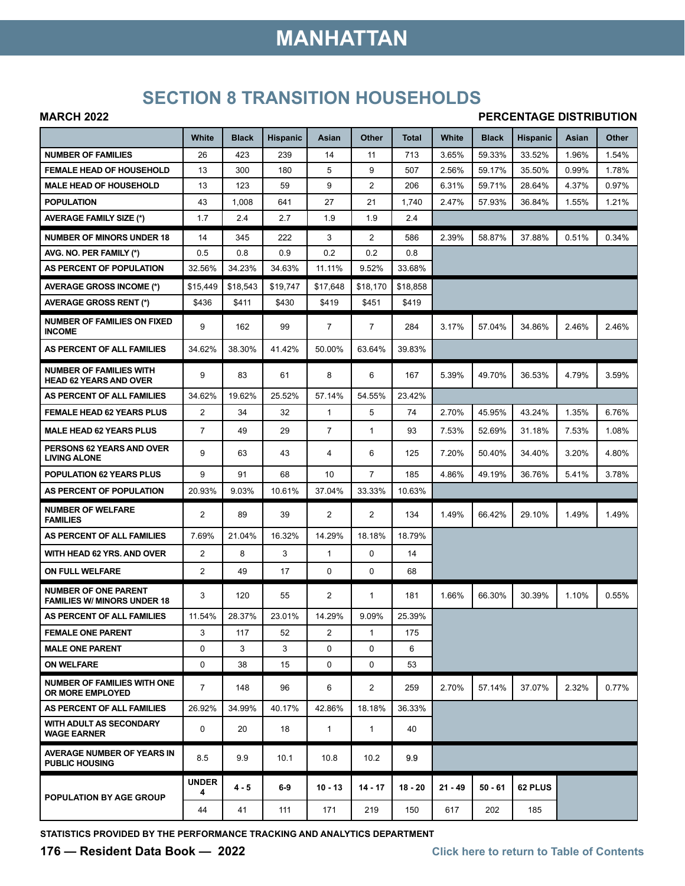# **MANHATTAN**

### **SECTION 8 TRANSITION HOUSEHOLDS**

#### **MARCH 2022**

#### **PERCENTAGE DISTRIBUTION**

|                                                                   | White             | <b>Black</b> | <b>Hispanic</b> | Asian          | Other          | Total     | White     | <b>Black</b> | <b>Hispanic</b> | Asian | Other |
|-------------------------------------------------------------------|-------------------|--------------|-----------------|----------------|----------------|-----------|-----------|--------------|-----------------|-------|-------|
| <b>NUMBER OF FAMILIES</b>                                         | 26                | 423          | 239             | 14             | 11             | 713       | 3.65%     | 59.33%       | 33.52%          | 1.96% | 1.54% |
| <b>FEMALE HEAD OF HOUSEHOLD</b>                                   | 13                | 300          | 180             | 5              | 9              | 507       | 2.56%     | 59.17%       | 35.50%          | 0.99% | 1.78% |
| <b>MALE HEAD OF HOUSEHOLD</b>                                     | 13                | 123          | 59              | 9              | $\overline{2}$ | 206       | 6.31%     | 59.71%       | 28.64%          | 4.37% | 0.97% |
| <b>POPULATION</b>                                                 | 43                | 1,008        | 641             | 27             | 21             | 1,740     | 2.47%     | 57.93%       | 36.84%          | 1.55% | 1.21% |
| <b>AVERAGE FAMILY SIZE (*)</b>                                    | 1.7               | 2.4          | 2.7             | 1.9            | 1.9            | 2.4       |           |              |                 |       |       |
| <b>NUMBER OF MINORS UNDER 18</b>                                  | 14                | 345          | 222             | 3              | $\overline{2}$ | 586       | 2.39%     | 58.87%       | 37.88%          | 0.51% | 0.34% |
| AVG. NO. PER FAMILY (*)                                           | 0.5               | 0.8          | 0.9             | 0.2            | 0.2            | 0.8       |           |              |                 |       |       |
| AS PERCENT OF POPULATION                                          | 32.56%            | 34.23%       | 34.63%          | 11.11%         | 9.52%          | 33.68%    |           |              |                 |       |       |
| <b>AVERAGE GROSS INCOME (*)</b>                                   | \$15,449          | \$18,543     | \$19.747        | \$17,648       | \$18.170       | \$18,858  |           |              |                 |       |       |
| <b>AVERAGE GROSS RENT (*)</b>                                     | \$436             | \$411        | \$430           | \$419          | \$451          | \$419     |           |              |                 |       |       |
| <b>NUMBER OF FAMILIES ON FIXED</b><br><b>INCOME</b>               | 9                 | 162          | 99              | $\overline{7}$ | $\overline{7}$ | 284       | 3.17%     | 57.04%       | 34.86%          | 2.46% | 2.46% |
| AS PERCENT OF ALL FAMILIES                                        | 34.62%            | 38.30%       | 41.42%          | 50.00%         | 63.64%         | 39.83%    |           |              |                 |       |       |
| <b>NUMBER OF FAMILIES WITH</b><br><b>HEAD 62 YEARS AND OVER</b>   | 9                 | 83           | 61              | 8              | 6              | 167       | 5.39%     | 49.70%       | 36.53%          | 4.79% | 3.59% |
| AS PERCENT OF ALL FAMILIES                                        | 34.62%            | 19.62%       | 25.52%          | 57.14%         | 54.55%         | 23.42%    |           |              |                 |       |       |
| <b>FEMALE HEAD 62 YEARS PLUS</b>                                  | $\overline{2}$    | 34           | 32              | $\mathbf{1}$   | 5              | 74        | 2.70%     | 45.95%       | 43.24%          | 1.35% | 6.76% |
| <b>MALE HEAD 62 YEARS PLUS</b>                                    | $\overline{7}$    | 49           | 29              | $\overline{7}$ | $\mathbf{1}$   | 93        | 7.53%     | 52.69%       | 31.18%          | 7.53% | 1.08% |
| PERSONS 62 YEARS AND OVER<br><b>LIVING ALONE</b>                  | 9                 | 63           | 43              | 4              | 6              | 125       | 7.20%     | 50.40%       | 34.40%          | 3.20% | 4.80% |
| <b>POPULATION 62 YEARS PLUS</b>                                   | 9                 | 91           | 68              | 10             | $\overline{7}$ | 185       | 4.86%     | 49.19%       | 36.76%          | 5.41% | 3.78% |
| AS PERCENT OF POPULATION                                          | 20.93%            | 9.03%        | 10.61%          | 37.04%         | 33.33%         | 10.63%    |           |              |                 |       |       |
| <b>NUMBER OF WELFARE</b><br><b>FAMILIES</b>                       | $\overline{2}$    | 89           | 39              | $\overline{2}$ | $\overline{2}$ | 134       | 1.49%     | 66.42%       | 29.10%          | 1.49% | 1.49% |
| AS PERCENT OF ALL FAMILIES                                        | 7.69%             | 21.04%       | 16.32%          | 14.29%         | 18.18%         | 18.79%    |           |              |                 |       |       |
| WITH HEAD 62 YRS. AND OVER                                        | $\overline{2}$    | 8            | 3               | $\mathbf{1}$   | $\mathbf 0$    | 14        |           |              |                 |       |       |
| <b>ON FULL WELFARE</b>                                            | 2                 | 49           | 17              | 0              | $\mathbf 0$    | 68        |           |              |                 |       |       |
| <b>NUMBER OF ONE PARENT</b><br><b>FAMILIES W/ MINORS UNDER 18</b> | 3                 | 120          | 55              | 2              | $\mathbf{1}$   | 181       | 1.66%     | 66.30%       | 30.39%          | 1.10% | 0.55% |
| AS PERCENT OF ALL FAMILIES                                        | 11.54%            | 28.37%       | 23.01%          | 14.29%         | 9.09%          | 25.39%    |           |              |                 |       |       |
| <b>FEMALE ONE PARENT</b>                                          | 3                 | 117          | 52              | 2              | $\mathbf{1}$   | 175       |           |              |                 |       |       |
| <b>MALE ONE PARENT</b>                                            | 0                 | 3            | 3               | $\mathbf 0$    | $\Omega$       | 6         |           |              |                 |       |       |
| <b>ON WELFARE</b>                                                 | 0                 | 38           | 15              | 0              | $\mathbf 0$    | 53        |           |              |                 |       |       |
| <b>NUMBER OF FAMILIES WITH ONE</b><br><b>OR MORE EMPLOYED</b>     | $\overline{7}$    | 148          | 96              | 6              | 2              | 259       | 2.70%     | 57.14%       | 37.07%          | 2.32% | 0.77% |
| AS PERCENT OF ALL FAMILIES                                        | 26.92%            | 34.99%       | 40.17%          | 42.86%         | 18.18%         | 36.33%    |           |              |                 |       |       |
| <b>WITH ADULT AS SECONDARY</b><br><b>WAGE EARNER</b>              | 0                 | 20           | 18              | 1              | 1              | 40        |           |              |                 |       |       |
| <b>AVERAGE NUMBER OF YEARS IN</b><br><b>PUBLIC HOUSING</b>        | 8.5               | 9.9          | 10.1            | 10.8           | 10.2           | 9.9       |           |              |                 |       |       |
| <b>POPULATION BY AGE GROUP</b>                                    | <b>UNDER</b><br>4 | 4 - 5        | 6-9             | $10 - 13$      | 14 - 17        | $18 - 20$ | $21 - 49$ | $50 - 61$    | 62 PLUS         |       |       |
|                                                                   | 44                | 41           | 111             | 171            | 219            | 150       | 617       | 202          | 185             |       |       |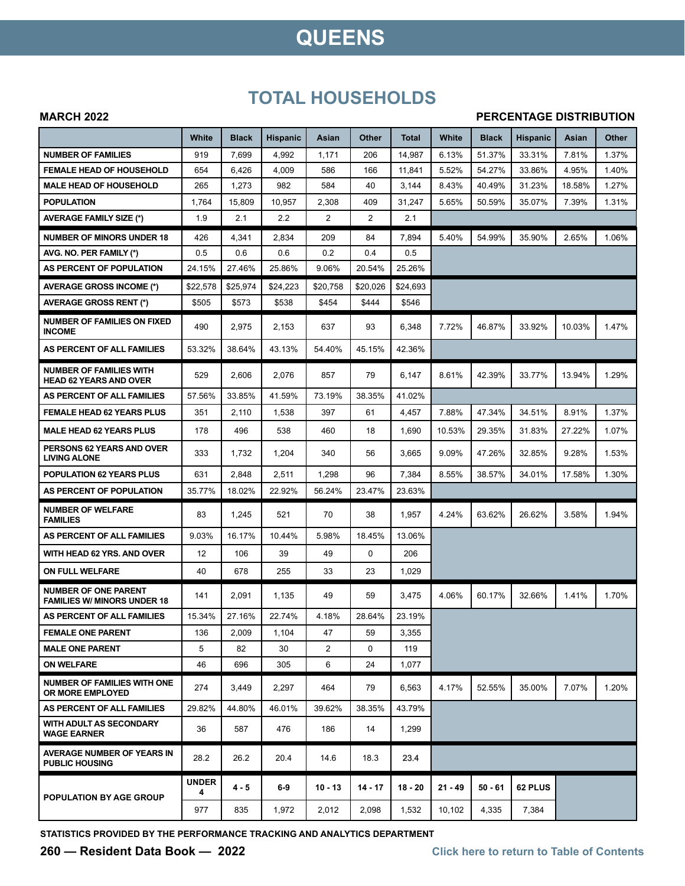## **QUEENS**

### **TOTAL HOUSEHOLDS**

#### **MARCH 2022**

#### **PERCENTAGE DISTRIBUTION**

|                                                                   | White             | <b>Black</b> | <b>Hispanic</b> | Asian          | <b>Other</b>   | Total     | White     | <b>Black</b> | <b>Hispanic</b> | Asian  | <b>Other</b> |
|-------------------------------------------------------------------|-------------------|--------------|-----------------|----------------|----------------|-----------|-----------|--------------|-----------------|--------|--------------|
| <b>NUMBER OF FAMILIES</b>                                         | 919               | 7,699        | 4,992           | 1,171          | 206            | 14,987    | 6.13%     | 51.37%       | 33.31%          | 7.81%  | 1.37%        |
| <b>FEMALE HEAD OF HOUSEHOLD</b>                                   | 654               | 6,426        | 4,009           | 586            | 166            | 11,841    | 5.52%     | 54.27%       | 33.86%          | 4.95%  | 1.40%        |
| <b>MALE HEAD OF HOUSEHOLD</b>                                     | 265               | 1,273        | 982             | 584            | 40             | 3,144     | 8.43%     | 40.49%       | 31.23%          | 18.58% | 1.27%        |
| <b>POPULATION</b>                                                 | 1,764             | 15,809       | 10,957          | 2,308          | 409            | 31,247    | 5.65%     | 50.59%       | 35.07%          | 7.39%  | 1.31%        |
| <b>AVERAGE FAMILY SIZE (*)</b>                                    | 1.9               | 2.1          | 2.2             | 2              | $\overline{2}$ | 2.1       |           |              |                 |        |              |
| <b>NUMBER OF MINORS UNDER 18</b>                                  | 426               | 4,341        | 2,834           | 209            | 84             | 7,894     | 5.40%     | 54.99%       | 35.90%          | 2.65%  | 1.06%        |
| AVG. NO. PER FAMILY (*)                                           | 0.5               | 0.6          | 0.6             | 0.2            | 0.4            | 0.5       |           |              |                 |        |              |
| AS PERCENT OF POPULATION                                          | 24.15%            | 27.46%       | 25.86%          | 9.06%          | 20.54%         | 25.26%    |           |              |                 |        |              |
| AVERAGE GROSS INCOME (*)                                          | \$22,578          | \$25,974     | \$24,223        | \$20,758       | \$20.026       | \$24,693  |           |              |                 |        |              |
| <b>AVERAGE GROSS RENT (*)</b>                                     | \$505             | \$573        | \$538           | \$454          | \$444          | \$546     |           |              |                 |        |              |
| <b>NUMBER OF FAMILIES ON FIXED</b><br><b>INCOME</b>               | 490               | 2,975        | 2,153           | 637            | 93             | 6,348     | 7.72%     | 46.87%       | 33.92%          | 10.03% | 1.47%        |
| AS PERCENT OF ALL FAMILIES                                        | 53.32%            | 38.64%       | 43.13%          | 54.40%         | 45.15%         | 42.36%    |           |              |                 |        |              |
| <b>NUMBER OF FAMILIES WITH</b><br><b>HEAD 62 YEARS AND OVER</b>   | 529               | 2,606        | 2,076           | 857            | 79             | 6,147     | 8.61%     | 42.39%       | 33.77%          | 13.94% | 1.29%        |
| AS PERCENT OF ALL FAMILIES                                        | 57.56%            | 33.85%       | 41.59%          | 73.19%         | 38.35%         | 41.02%    |           |              |                 |        |              |
| <b>FEMALE HEAD 62 YEARS PLUS</b>                                  | 351               | 2,110        | 1,538           | 397            | 61             | 4,457     | 7.88%     | 47.34%       | 34.51%          | 8.91%  | 1.37%        |
| <b>MALE HEAD 62 YEARS PLUS</b>                                    | 178               | 496          | 538             | 460            | 18             | 1,690     | 10.53%    | 29.35%       | 31.83%          | 27.22% | 1.07%        |
| <b>PERSONS 62 YEARS AND OVER</b><br><b>LIVING ALONE</b>           | 333               | 1,732        | 1,204           | 340            | 56             | 3,665     | 9.09%     | 47.26%       | 32.85%          | 9.28%  | 1.53%        |
| <b>POPULATION 62 YEARS PLUS</b>                                   | 631               | 2,848        | 2,511           | 1,298          | 96             | 7,384     | 8.55%     | 38.57%       | 34.01%          | 17.58% | 1.30%        |
| AS PERCENT OF POPULATION                                          | 35.77%            | 18.02%       | 22.92%          | 56.24%         | 23.47%         | 23.63%    |           |              |                 |        |              |
| <b>NUMBER OF WELFARE</b><br><b>FAMILIES</b>                       | 83                | 1,245        | 521             | 70             | 38             | 1,957     | 4.24%     | 63.62%       | 26.62%          | 3.58%  | 1.94%        |
| AS PERCENT OF ALL FAMILIES                                        | 9.03%             | 16.17%       | 10.44%          | 5.98%          | 18.45%         | 13.06%    |           |              |                 |        |              |
| WITH HEAD 62 YRS. AND OVER                                        | 12                | 106          | 39              | 49             | 0              | 206       |           |              |                 |        |              |
| ON FULL WELFARE                                                   | 40                | 678          | 255             | 33             | 23             | 1,029     |           |              |                 |        |              |
| <b>NUMBER OF ONE PARENT</b><br><b>FAMILIES W/ MINORS UNDER 18</b> | 141               | 2,091        | 1,135           | 49             | 59             | 3,475     | 4.06%     | 60.17%       | 32.66%          | 1.41%  | 1.70%        |
| AS PERCENT OF ALL FAMILIES                                        | 15.34%            | 27.16%       | 22.74%          | 4.18%          | 28.64%         | 23.19%    |           |              |                 |        |              |
| <b>FEMALE ONE PARENT</b>                                          | 136               | 2,009        | 1,104           | 47             | 59             | 3,355     |           |              |                 |        |              |
| <b>MALE ONE PARENT</b>                                            | 5                 | 82           | 30              | $\overline{2}$ | $\Omega$       | 119       |           |              |                 |        |              |
| <b>ON WELFARE</b>                                                 | 46                | 696          | 305             | 6              | 24             | 1,077     |           |              |                 |        |              |
| <b>NUMBER OF FAMILIES WITH ONE</b><br><b>OR MORE EMPLOYED</b>     | 274               | 3,449        | 2,297           | 464            | 79             | 6,563     | 4.17%     | 52.55%       | 35.00%          | 7.07%  | 1.20%        |
| AS PERCENT OF ALL FAMILIES                                        | 29.82%            | 44.80%       | 46.01%          | 39.62%         | 38.35%         | 43.79%    |           |              |                 |        |              |
| <b>WITH ADULT AS SECONDARY</b><br><b>WAGE EARNER</b>              | 36                | 587          | 476             | 186            | 14             | 1,299     |           |              |                 |        |              |
| <b>AVERAGE NUMBER OF YEARS IN</b><br><b>PUBLIC HOUSING</b>        | 28.2              | 26.2         | 20.4            | 14.6           | 18.3           | 23.4      |           |              |                 |        |              |
| POPULATION BY AGE GROUP                                           | <b>UNDER</b><br>4 | $4 - 5$      | $6-9$           | $10 - 13$      | 14 - 17        | $18 - 20$ | $21 - 49$ | $50 - 61$    | 62 PLUS         |        |              |
|                                                                   | 977               | 835          | 1,972           | 2,012          | 2,098          | 1,532     | 10,102    | 4,335        | 7,384           |        |              |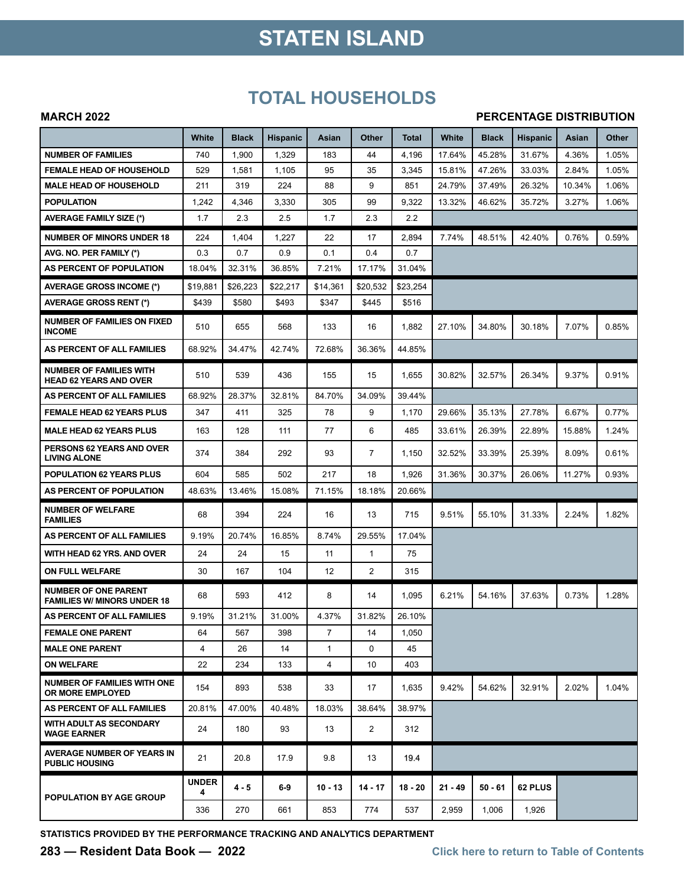# **STATEN ISLAND**

### **TOTAL HOUSEHOLDS**

#### **MARCH 2022**

#### **PERCENTAGE DISTRIBUTION**

|                                                                   | White             | <b>Black</b> | <b>Hispanic</b> | Asian          | Other          | Total     | White     | <b>Black</b> | <b>Hispanic</b> | Asian  | Other |
|-------------------------------------------------------------------|-------------------|--------------|-----------------|----------------|----------------|-----------|-----------|--------------|-----------------|--------|-------|
| <b>NUMBER OF FAMILIES</b>                                         | 740               | 1,900        | 1,329           | 183            | 44             | 4,196     | 17.64%    | 45.28%       | 31.67%          | 4.36%  | 1.05% |
| <b>FEMALE HEAD OF HOUSEHOLD</b>                                   | 529               | 1,581        | 1,105           | 95             | 35             | 3,345     | 15.81%    | 47.26%       | 33.03%          | 2.84%  | 1.05% |
| <b>MALE HEAD OF HOUSEHOLD</b>                                     | 211               | 319          | 224             | 88             | 9              | 851       | 24.79%    | 37.49%       | 26.32%          | 10.34% | 1.06% |
| <b>POPULATION</b>                                                 | 1,242             | 4,346        | 3,330           | 305            | 99             | 9,322     | 13.32%    | 46.62%       | 35.72%          | 3.27%  | 1.06% |
| <b>AVERAGE FAMILY SIZE (*)</b>                                    | 1.7               | 2.3          | 2.5             | 1.7            | 2.3            | 2.2       |           |              |                 |        |       |
| <b>NUMBER OF MINORS UNDER 18</b>                                  | 224               | 1,404        | 1,227           | 22             | 17             | 2,894     | 7.74%     | 48.51%       | 42.40%          | 0.76%  | 0.59% |
| AVG. NO. PER FAMILY (*)                                           | 0.3               | 0.7          | 0.9             | 0.1            | 0.4            | 0.7       |           |              |                 |        |       |
| AS PERCENT OF POPULATION                                          | 18.04%            | 32.31%       | 36.85%          | 7.21%          | 17.17%         | 31.04%    |           |              |                 |        |       |
| <b>AVERAGE GROSS INCOME (*)</b>                                   | \$19,881          | \$26.223     | \$22,217        | \$14.361       | \$20,532       | \$23,254  |           |              |                 |        |       |
| <b>AVERAGE GROSS RENT (*)</b>                                     | \$439             | \$580        | \$493           | \$347          | \$445          | \$516     |           |              |                 |        |       |
| <b>NUMBER OF FAMILIES ON FIXED</b><br><b>INCOME</b>               | 510               | 655          | 568             | 133            | 16             | 1,882     | 27.10%    | 34.80%       | 30.18%          | 7.07%  | 0.85% |
| AS PERCENT OF ALL FAMILIES                                        | 68.92%            | 34.47%       | 42.74%          | 72.68%         | 36.36%         | 44.85%    |           |              |                 |        |       |
| <b>NUMBER OF FAMILIES WITH</b><br><b>HEAD 62 YEARS AND OVER</b>   | 510               | 539          | 436             | 155            | 15             | 1,655     | 30.82%    | 32.57%       | 26.34%          | 9.37%  | 0.91% |
| AS PERCENT OF ALL FAMILIES                                        | 68.92%            | 28.37%       | 32.81%          | 84.70%         | 34.09%         | 39.44%    |           |              |                 |        |       |
| <b>FEMALE HEAD 62 YEARS PLUS</b>                                  | 347               | 411          | 325             | 78             | 9              | 1,170     | 29.66%    | 35.13%       | 27.78%          | 6.67%  | 0.77% |
| <b>MALE HEAD 62 YEARS PLUS</b>                                    | 163               | 128          | 111             | 77             | 6              | 485       | 33.61%    | 26.39%       | 22.89%          | 15.88% | 1.24% |
| PERSONS 62 YEARS AND OVER<br><b>LIVING ALONE</b>                  | 374               | 384          | 292             | 93             | $\overline{7}$ | 1,150     | 32.52%    | 33.39%       | 25.39%          | 8.09%  | 0.61% |
| POPULATION 62 YEARS PLUS                                          | 604               | 585          | 502             | 217            | 18             | 1,926     | 31.36%    | 30.37%       | 26.06%          | 11.27% | 0.93% |
| AS PERCENT OF POPULATION                                          | 48.63%            | 13.46%       | 15.08%          | 71.15%         | 18.18%         | 20.66%    |           |              |                 |        |       |
| <b>NUMBER OF WELFARE</b><br><b>FAMILIES</b>                       | 68                | 394          | 224             | 16             | 13             | 715       | 9.51%     | 55.10%       | 31.33%          | 2.24%  | 1.82% |
| AS PERCENT OF ALL FAMILIES                                        | 9.19%             | 20.74%       | 16.85%          | 8.74%          | 29.55%         | 17.04%    |           |              |                 |        |       |
| WITH HEAD 62 YRS. AND OVER                                        | 24                | 24           | 15              | 11             | $\mathbf{1}$   | 75        |           |              |                 |        |       |
| ON FULL WELFARE                                                   | 30                | 167          | 104             | 12             | $\overline{2}$ | 315       |           |              |                 |        |       |
| <b>NUMBER OF ONE PARENT</b><br><b>FAMILIES W/ MINORS UNDER 18</b> | 68                | 593          | 412             | 8              | 14             | 1,095     | 6.21%     | 54.16%       | 37.63%          | 0.73%  | 1.28% |
| AS PERCENT OF ALL FAMILIES                                        | 9.19%             | 31.21%       | 31.00%          | 4.37%          | 31.82%         | 26.10%    |           |              |                 |        |       |
| <b>FEMALE ONE PARENT</b>                                          | 64                | 567          | 398             | $\overline{7}$ | 14             | 1,050     |           |              |                 |        |       |
| <b>MALE ONE PARENT</b>                                            | 4                 | 26           | 14              | $\mathbf{1}$   | $\Omega$       | 45        |           |              |                 |        |       |
| <b>ON WELFARE</b>                                                 | 22                | 234          | 133             | 4              | 10             | 403       |           |              |                 |        |       |
| <b>NUMBER OF FAMILIES WITH ONE</b><br>OR MORE EMPLOYED            | 154               | 893          | 538             | 33             | 17             | 1,635     | 9.42%     | 54.62%       | 32.91%          | 2.02%  | 1.04% |
| AS PERCENT OF ALL FAMILIES                                        | 20.81%            | 47.00%       | 40.48%          | 18.03%         | 38.64%         | 38.97%    |           |              |                 |        |       |
| WITH ADULT AS SECONDARY<br><b>WAGE EARNER</b>                     | 24                | 180          | 93              | 13             | 2              | 312       |           |              |                 |        |       |
| AVERAGE NUMBER OF YEARS IN<br><b>PUBLIC HOUSING</b>               | 21                | 20.8         | 17.9            | 9.8            | 13             | 19.4      |           |              |                 |        |       |
| POPULATION BY AGE GROUP                                           | <b>UNDER</b><br>4 | 4 - 5        | $6-9$           | $10 - 13$      | $14 - 17$      | $18 - 20$ | $21 - 49$ | 50 - 61      | 62 PLUS         |        |       |
|                                                                   | 336               | 270          | 661             | 853            | 774            | 537       | 2,959     | 1,006        | 1,926           |        |       |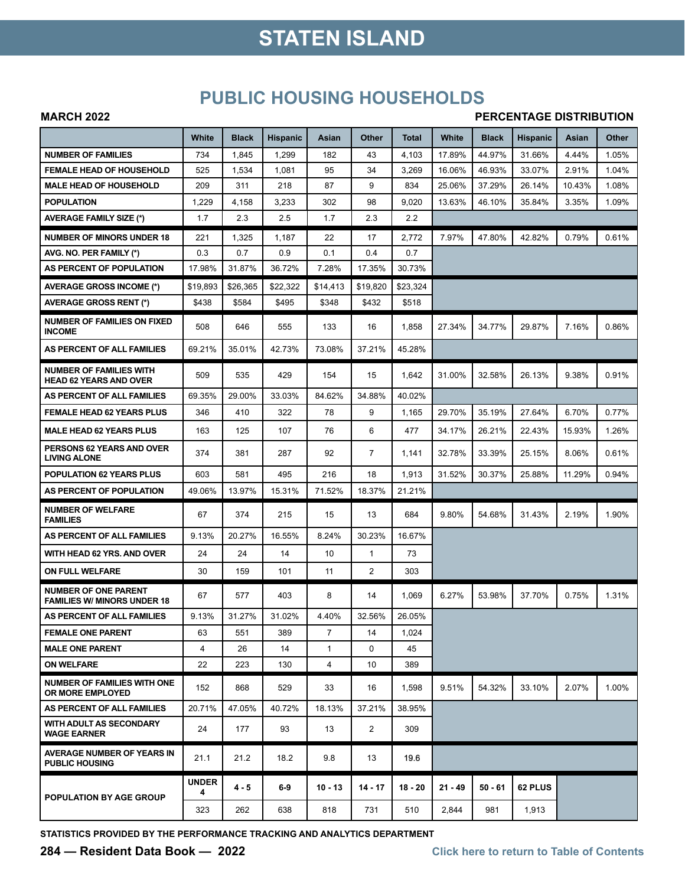## **STATEN ISLAND**

### **PUBLIC HOUSING HOUSEHOLDS**

#### **MARCH 2022**

#### **PERCENTAGE DISTRIBUTION**

|                                                                   | White             | <b>Black</b> | Hispanic | Asian        | Other        | Total     | White     | <b>Black</b> | <b>Hispanic</b> | Asian  | Other |
|-------------------------------------------------------------------|-------------------|--------------|----------|--------------|--------------|-----------|-----------|--------------|-----------------|--------|-------|
| <b>NUMBER OF FAMILIES</b>                                         | 734               | 1,845        | 1,299    | 182          | 43           | 4,103     | 17.89%    | 44.97%       | 31.66%          | 4.44%  | 1.05% |
| <b>FEMALE HEAD OF HOUSEHOLD</b>                                   | 525               | 1,534        | 1,081    | 95           | 34           | 3,269     | 16.06%    | 46.93%       | 33.07%          | 2.91%  | 1.04% |
| <b>MALE HEAD OF HOUSEHOLD</b>                                     | 209               | 311          | 218      | 87           | 9            | 834       | 25.06%    | 37.29%       | 26.14%          | 10.43% | 1.08% |
| <b>POPULATION</b>                                                 | 1,229             | 4,158        | 3,233    | 302          | 98           | 9,020     | 13.63%    | 46.10%       | 35.84%          | 3.35%  | 1.09% |
| <b>AVERAGE FAMILY SIZE (*)</b>                                    | 1.7               | 2.3          | 2.5      | 1.7          | 2.3          | 2.2       |           |              |                 |        |       |
| <b>NUMBER OF MINORS UNDER 18</b>                                  | 221               | 1,325        | 1,187    | 22           | 17           | 2,772     | 7.97%     | 47.80%       | 42.82%          | 0.79%  | 0.61% |
| AVG. NO. PER FAMILY (*)                                           | 0.3               | 0.7          | 0.9      | 0.1          | 0.4          | 0.7       |           |              |                 |        |       |
| AS PERCENT OF POPULATION                                          | 17.98%            | 31.87%       | 36.72%   | 7.28%        | 17.35%       | 30.73%    |           |              |                 |        |       |
| <b>AVERAGE GROSS INCOME (*)</b>                                   | \$19,893          | \$26,365     | \$22,322 | \$14,413     | \$19,820     | \$23,324  |           |              |                 |        |       |
| <b>AVERAGE GROSS RENT (*)</b>                                     | \$438             | \$584        | \$495    | \$348        | \$432        | \$518     |           |              |                 |        |       |
| <b>NUMBER OF FAMILIES ON FIXED</b><br><b>INCOME</b>               | 508               | 646          | 555      | 133          | 16           | 1,858     | 27.34%    | 34.77%       | 29.87%          | 7.16%  | 0.86% |
| AS PERCENT OF ALL FAMILIES                                        | 69.21%            | 35.01%       | 42.73%   | 73.08%       | 37.21%       | 45.28%    |           |              |                 |        |       |
| <b>NUMBER OF FAMILIES WITH</b><br><b>HEAD 62 YEARS AND OVER</b>   | 509               | 535          | 429      | 154          | 15           | 1,642     | 31.00%    | 32.58%       | 26.13%          | 9.38%  | 0.91% |
| AS PERCENT OF ALL FAMILIES                                        | 69.35%            | 29.00%       | 33.03%   | 84.62%       | 34.88%       | 40.02%    |           |              |                 |        |       |
| <b>FEMALE HEAD 62 YEARS PLUS</b>                                  | 346               | 410          | 322      | 78           | 9            | 1,165     | 29.70%    | 35.19%       | 27.64%          | 6.70%  | 0.77% |
| <b>MALE HEAD 62 YEARS PLUS</b>                                    | 163               | 125          | 107      | 76           | 6            | 477       | 34.17%    | 26.21%       | 22.43%          | 15.93% | 1.26% |
| PERSONS 62 YEARS AND OVER<br><b>LIVING ALONE</b>                  | 374               | 381          | 287      | 92           | 7            | 1,141     | 32.78%    | 33.39%       | 25.15%          | 8.06%  | 0.61% |
| <b>POPULATION 62 YEARS PLUS</b>                                   | 603               | 581          | 495      | 216          | 18           | 1,913     | 31.52%    | 30.37%       | 25.88%          | 11.29% | 0.94% |
| AS PERCENT OF POPULATION                                          | 49.06%            | 13.97%       | 15.31%   | 71.52%       | 18.37%       | 21.21%    |           |              |                 |        |       |
| <b>NUMBER OF WELFARE</b><br><b>FAMILIES</b>                       | 67                | 374          | 215      | 15           | 13           | 684       | 9.80%     | 54.68%       | 31.43%          | 2.19%  | 1.90% |
| AS PERCENT OF ALL FAMILIES                                        | 9.13%             | 20.27%       | 16.55%   | 8.24%        | 30.23%       | 16.67%    |           |              |                 |        |       |
| WITH HEAD 62 YRS. AND OVER                                        | 24                | 24           | 14       | 10           | $\mathbf{1}$ | 73        |           |              |                 |        |       |
| ON FULL WELFARE                                                   | 30                | 159          | 101      | 11           | 2            | 303       |           |              |                 |        |       |
| <b>NUMBER OF ONE PARENT</b><br><b>FAMILIES W/ MINORS UNDER 18</b> | 67                | 577          | 403      | 8            | 14           | 1,069     | 6.27%     | 53.98%       | 37.70%          | 0.75%  | 1.31% |
| AS PERCENT OF ALL FAMILIES                                        | 9.13%             | 31.27%       | 31.02%   | 4.40%        | 32.56%       | 26.05%    |           |              |                 |        |       |
| <b>FEMALE ONE PARENT</b>                                          | 63                | 551          | 389      | 7            | 14           | 1,024     |           |              |                 |        |       |
| <b>MALE ONE PARENT</b>                                            | 4                 | 26           | 14       | $\mathbf{1}$ | $\Omega$     | 45        |           |              |                 |        |       |
| <b>ON WELFARE</b>                                                 | 22                | 223          | 130      | 4            | 10           | 389       |           |              |                 |        |       |
| <b>NUMBER OF FAMILIES WITH ONE</b><br>OR MORE EMPLOYED            | 152               | 868          | 529      | 33           | 16           | 1,598     | 9.51%     | 54.32%       | 33.10%          | 2.07%  | 1.00% |
| AS PERCENT OF ALL FAMILIES                                        | 20.71%            | 47.05%       | 40.72%   | 18.13%       | 37.21%       | 38.95%    |           |              |                 |        |       |
| <b>WITH ADULT AS SECONDARY</b><br><b>WAGE EARNER</b>              | 24                | 177          | 93       | 13           | 2            | 309       |           |              |                 |        |       |
| AVERAGE NUMBER OF YEARS IN<br><b>PUBLIC HOUSING</b>               | 21.1              | 21.2         | 18.2     | 9.8          | 13           | 19.6      |           |              |                 |        |       |
| <b>POPULATION BY AGE GROUP</b>                                    | <b>UNDER</b><br>4 | 4 - 5        | $6-9$    | $10 - 13$    | $14 - 17$    | $18 - 20$ | $21 - 49$ | $50 - 61$    | 62 PLUS         |        |       |
|                                                                   | 323               | 262          | 638      | 818          | 731          | 510       | 2,844     | 981          | 1,913           |        |       |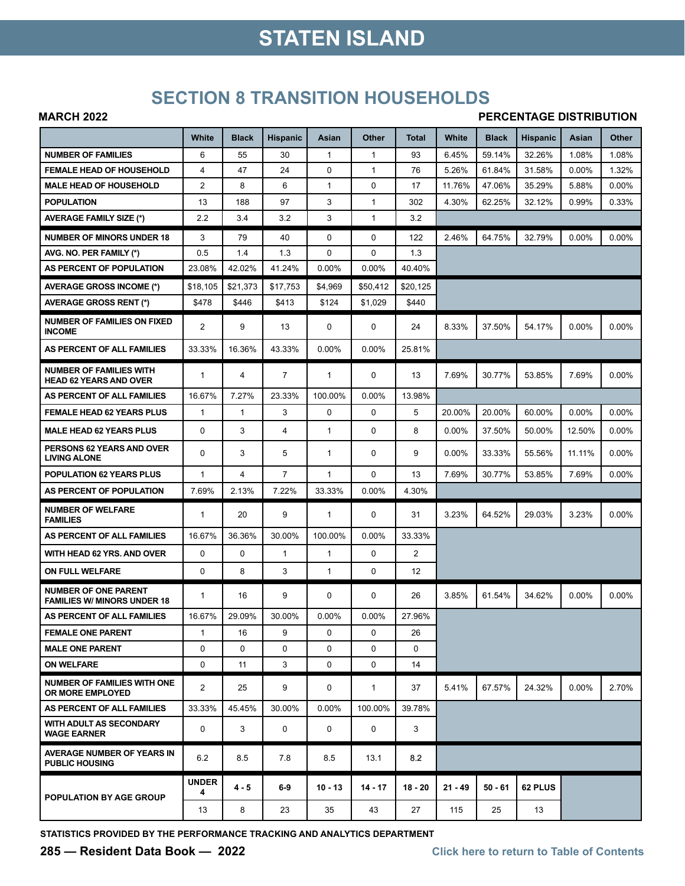## **STATEN ISLAND**

### **SECTION 8 TRANSITION HOUSEHOLDS**

#### **MARCH 2022**

#### **PERCENTAGE DISTRIBUTION**

|                                                                   | White             | <b>Black</b> | <b>Hispanic</b> | Asian        | Other        | Total          | White     | <b>Black</b> | <b>Hispanic</b> | Asian    | Other    |
|-------------------------------------------------------------------|-------------------|--------------|-----------------|--------------|--------------|----------------|-----------|--------------|-----------------|----------|----------|
| <b>NUMBER OF FAMILIES</b>                                         | 6                 | 55           | 30              | $\mathbf{1}$ | $\mathbf{1}$ | 93             | 6.45%     | 59.14%       | 32.26%          | 1.08%    | 1.08%    |
| <b>FEMALE HEAD OF HOUSEHOLD</b>                                   | 4                 | 47           | 24              | $\Omega$     | $\mathbf{1}$ | 76             | 5.26%     | 61.84%       | 31.58%          | $0.00\%$ | 1.32%    |
| <b>MALE HEAD OF HOUSEHOLD</b>                                     | $\overline{2}$    | 8            | 6               | 1            | $\mathbf 0$  | 17             | 11.76%    | 47.06%       | 35.29%          | 5.88%    | $0.00\%$ |
| <b>POPULATION</b>                                                 | 13                | 188          | 97              | 3            | $\mathbf{1}$ | 302            | 4.30%     | 62.25%       | 32.12%          | 0.99%    | 0.33%    |
| <b>AVERAGE FAMILY SIZE (*)</b>                                    | 2.2               | 3.4          | 3.2             | 3            | $\mathbf{1}$ | 3.2            |           |              |                 |          |          |
| <b>NUMBER OF MINORS UNDER 18</b>                                  | 3                 | 79           | 40              | 0            | $\mathbf 0$  | 122            | 2.46%     | 64.75%       | 32.79%          | 0.00%    | $0.00\%$ |
| AVG. NO. PER FAMILY (*)                                           | 0.5               | 1.4          | 1.3             | 0            | 0            | 1.3            |           |              |                 |          |          |
| AS PERCENT OF POPULATION                                          | 23.08%            | 42.02%       | 41.24%          | 0.00%        | 0.00%        | 40.40%         |           |              |                 |          |          |
| AVERAGE GROSS INCOME (*)                                          | \$18,105          | \$21,373     | \$17,753        | \$4,969      | \$50,412     | \$20.125       |           |              |                 |          |          |
| <b>AVERAGE GROSS RENT (*)</b>                                     | \$478             | \$446        | \$413           | \$124        | \$1,029      | \$440          |           |              |                 |          |          |
| <b>NUMBER OF FAMILIES ON FIXED</b><br><b>INCOME</b>               | $\overline{2}$    | 9            | 13              | 0            | 0            | 24             | 8.33%     | 37.50%       | 54.17%          | 0.00%    | 0.00%    |
| AS PERCENT OF ALL FAMILIES                                        | 33.33%            | 16.36%       | 43.33%          | 0.00%        | 0.00%        | 25.81%         |           |              |                 |          |          |
| <b>NUMBER OF FAMILIES WITH</b><br><b>HEAD 62 YEARS AND OVER</b>   | 1                 | 4            | $\overline{7}$  | 1            | 0            | 13             | 7.69%     | 30.77%       | 53.85%          | 7.69%    | 0.00%    |
| AS PERCENT OF ALL FAMILIES                                        | 16.67%            | 7.27%        | 23.33%          | 100.00%      | 0.00%        | 13.98%         |           |              |                 |          |          |
| <b>FEMALE HEAD 62 YEARS PLUS</b>                                  | $\mathbf{1}$      | $\mathbf{1}$ | 3               | 0            | $\Omega$     | 5              | 20.00%    | 20.00%       | 60.00%          | 0.00%    | $0.00\%$ |
| <b>MALE HEAD 62 YEARS PLUS</b>                                    | 0                 | 3            | 4               | 1            | $\mathbf 0$  | 8              | $0.00\%$  | 37.50%       | 50.00%          | 12.50%   | 0.00%    |
| <b>PERSONS 62 YEARS AND OVER</b><br><b>LIVING ALONE</b>           | 0                 | 3            | 5               | 1            | 0            | 9              | $0.00\%$  | 33.33%       | 55.56%          | 11.11%   | $0.00\%$ |
| <b>POPULATION 62 YEARS PLUS</b>                                   | 1                 | 4            | $\overline{7}$  | 1            | $\Omega$     | 13             | 7.69%     | 30.77%       | 53.85%          | 7.69%    | $0.00\%$ |
| AS PERCENT OF POPULATION                                          | 7.69%             | 2.13%        | 7.22%           | 33.33%       | 0.00%        | 4.30%          |           |              |                 |          |          |
| <b>NUMBER OF WELFARE</b><br><b>FAMILIES</b>                       | $\mathbf 1$       | 20           | 9               | 1            | 0            | 31             | 3.23%     | 64.52%       | 29.03%          | 3.23%    | 0.00%    |
| AS PERCENT OF ALL FAMILIES                                        | 16.67%            | 36.36%       | 30.00%          | 100.00%      | 0.00%        | 33.33%         |           |              |                 |          |          |
| WITH HEAD 62 YRS. AND OVER                                        | 0                 | $\mathbf 0$  | $\mathbf{1}$    | $\mathbf{1}$ | $\mathbf 0$  | $\overline{2}$ |           |              |                 |          |          |
| ON FULL WELFARE                                                   | 0                 | 8            | 3               | $\mathbf{1}$ | $\mathbf 0$  | 12             |           |              |                 |          |          |
| <b>NUMBER OF ONE PARENT</b><br><b>FAMILIES W/ MINORS UNDER 18</b> | 1                 | 16           | 9               | 0            | 0            | 26             | 3.85%     | 61.54%       | 34.62%          | 0.00%    | $0.00\%$ |
| AS PERCENT OF ALL FAMILIES                                        | 16.67%            | 29.09%       | 30.00%          | 0.00%        | 0.00%        | 27.96%         |           |              |                 |          |          |
| <b>FEMALE ONE PARENT</b>                                          | $\mathbf{1}$      | 16           | 9               | $\mathbf 0$  | $\mathbf 0$  | 26             |           |              |                 |          |          |
| <b>MALE ONE PARENT</b>                                            | 0                 | $\Omega$     | $\Omega$        | 0            | $\Omega$     | $\Omega$       |           |              |                 |          |          |
| <b>ON WELFARE</b>                                                 | 0                 | 11           | 3               | 0            | $\mathbf 0$  | 14             |           |              |                 |          |          |
| NUMBER OF FAMILIES WITH ONE<br>OR MORE EMPLOYED                   | $\overline{2}$    | 25           | 9               | 0            | $\mathbf{1}$ | 37             | 5.41%     | 67.57%       | 24.32%          | $0.00\%$ | 2.70%    |
| AS PERCENT OF ALL FAMILIES                                        | 33.33%            | 45.45%       | 30.00%          | 0.00%        | 100.00%      | 39.78%         |           |              |                 |          |          |
| <b>WITH ADULT AS SECONDARY</b><br><b>WAGE EARNER</b>              | 0                 | 3            | 0               | 0            | 0            | 3              |           |              |                 |          |          |
| AVERAGE NUMBER OF YEARS IN<br><b>PUBLIC HOUSING</b>               | 6.2               | 8.5          | 7.8             | 8.5          | 13.1         | 8.2            |           |              |                 |          |          |
| POPULATION BY AGE GROUP                                           | <b>UNDER</b><br>4 | $4 - 5$      | $6-9$           | $10 - 13$    | $14 - 17$    | $18 - 20$      | $21 - 49$ | $50 - 61$    | 62 PLUS         |          |          |
|                                                                   | 13                | 8            | 23              | 35           | 43           | 27             | 115       | 25           | 13              |          |          |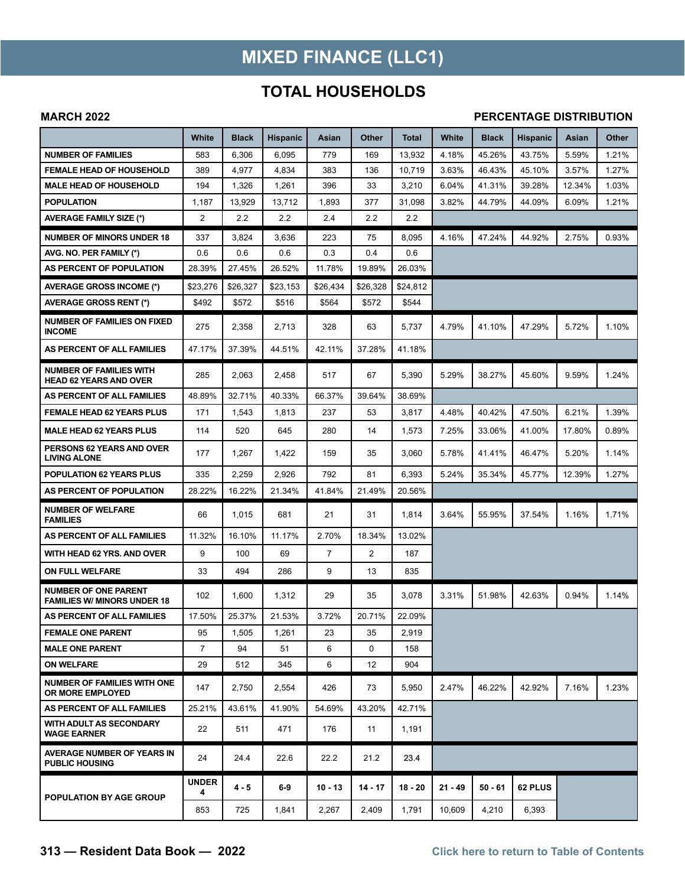## **MIXED FINANCE (LLC1)**

### **TOTAL HOUSEHOLDS**

#### **MARCH 2022**

#### **PERCENTAGE DISTRIBUTION**

|                                                                   | White          | <b>Black</b> | Hispanic | Asian     | Other          | Total    | White     | <b>Black</b> | <b>Hispanic</b> | Asian  | Other |
|-------------------------------------------------------------------|----------------|--------------|----------|-----------|----------------|----------|-----------|--------------|-----------------|--------|-------|
| <b>NUMBER OF FAMILIES</b>                                         | 583            | 6,306        | 6,095    | 779       | 169            | 13,932   | 4.18%     | 45.26%       | 43.75%          | 5.59%  | 1.21% |
| <b>FEMALE HEAD OF HOUSEHOLD</b>                                   | 389            | 4,977        | 4,834    | 383       | 136            | 10,719   | 3.63%     | 46.43%       | 45.10%          | 3.57%  | 1.27% |
| <b>MALE HEAD OF HOUSEHOLD</b>                                     | 194            | 1,326        | 1,261    | 396       | 33             | 3,210    | 6.04%     | 41.31%       | 39.28%          | 12.34% | 1.03% |
| <b>POPULATION</b>                                                 | 1,187          | 13,929       | 13,712   | 1,893     | 377            | 31,098   | 3.82%     | 44.79%       | 44.09%          | 6.09%  | 1.21% |
| <b>AVERAGE FAMILY SIZE (*)</b>                                    | $\overline{2}$ | 2.2          | 2.2      | 2.4       | 2.2            | 2.2      |           |              |                 |        |       |
| <b>NUMBER OF MINORS UNDER 18</b>                                  | 337            | 3,824        | 3,636    | 223       | 75             | 8,095    | 4.16%     | 47.24%       | 44.92%          | 2.75%  | 0.93% |
| AVG. NO. PER FAMILY (*)                                           | 0.6            | 0.6          | 0.6      | 0.3       | 0.4            | 0.6      |           |              |                 |        |       |
| AS PERCENT OF POPULATION                                          | 28.39%         | 27.45%       | 26.52%   | 11.78%    | 19.89%         | 26.03%   |           |              |                 |        |       |
| <b>AVERAGE GROSS INCOME (*)</b>                                   | \$23,276       | \$26.327     | \$23,153 | \$26.434  | \$26.328       | \$24,812 |           |              |                 |        |       |
| <b>AVERAGE GROSS RENT (*)</b>                                     | \$492          | \$572        | \$516    | \$564     | \$572          | \$544    |           |              |                 |        |       |
| <b>NUMBER OF FAMILIES ON FIXED</b><br><b>INCOME</b>               | 275            | 2,358        | 2,713    | 328       | 63             | 5,737    | 4.79%     | 41.10%       | 47.29%          | 5.72%  | 1.10% |
| AS PERCENT OF ALL FAMILIES                                        | 47.17%         | 37.39%       | 44.51%   | 42.11%    | 37.28%         | 41.18%   |           |              |                 |        |       |
| <b>NUMBER OF FAMILIES WITH</b><br><b>HEAD 62 YEARS AND OVER</b>   | 285            | 2,063        | 2,458    | 517       | 67             | 5,390    | 5.29%     | 38.27%       | 45.60%          | 9.59%  | 1.24% |
| AS PERCENT OF ALL FAMILIES                                        | 48.89%         | 32.71%       | 40.33%   | 66.37%    | 39.64%         | 38.69%   |           |              |                 |        |       |
| <b>FEMALE HEAD 62 YEARS PLUS</b>                                  | 171            | 1,543        | 1,813    | 237       | 53             | 3,817    | 4.48%     | 40.42%       | 47.50%          | 6.21%  | 1.39% |
| <b>MALE HEAD 62 YEARS PLUS</b>                                    | 114            | 520          | 645      | 280       | 14             | 1,573    | 7.25%     | 33.06%       | 41.00%          | 17.80% | 0.89% |
| PERSONS 62 YEARS AND OVER<br><b>LIVING ALONE</b>                  | 177            | 1,267        | 1,422    | 159       | 35             | 3,060    | 5.78%     | 41.41%       | 46.47%          | 5.20%  | 1.14% |
| <b>POPULATION 62 YEARS PLUS</b>                                   | 335            | 2,259        | 2,926    | 792       | 81             | 6,393    | 5.24%     | 35.34%       | 45.77%          | 12.39% | 1.27% |
| AS PERCENT OF POPULATION                                          | 28.22%         | 16.22%       | 21.34%   | 41.84%    | 21.49%         | 20.56%   |           |              |                 |        |       |
| <b>NUMBER OF WELFARE</b><br><b>FAMILIES</b>                       | 66             | 1,015        | 681      | 21        | 31             | 1,814    | 3.64%     | 55.95%       | 37.54%          | 1.16%  | 1.71% |
| AS PERCENT OF ALL FAMILIES                                        | 11.32%         | 16.10%       | 11.17%   | 2.70%     | 18.34%         | 13.02%   |           |              |                 |        |       |
| WITH HEAD 62 YRS. AND OVER                                        | 9              | 100          | 69       | 7         | $\overline{2}$ | 187      |           |              |                 |        |       |
| ON FULL WELFARE                                                   | 33             | 494          | 286      | 9         | 13             | 835      |           |              |                 |        |       |
| <b>NUMBER OF ONE PARENT</b><br><b>FAMILIES W/ MINORS UNDER 18</b> | 102            | 1,600        | 1,312    | 29        | 35             | 3,078    | 3.31%     | 51.98%       | 42.63%          | 0.94%  | 1.14% |
| AS PERCENT OF ALL FAMILIES                                        | 17.50%         | 25.37%       | 21.53%   | 3.72%     | 20.71%         | 22.09%   |           |              |                 |        |       |
| <b>FEMALE ONE PARENT</b>                                          | 95             | 1,505        | 1,261    | 23        | 35             | 2,919    |           |              |                 |        |       |
| <b>MALE ONE PARENT</b>                                            | $\overline{7}$ | 94           | 51       | 6         | 0              | 158      |           |              |                 |        |       |
| <b>ON WELFARE</b>                                                 | 29             | 512          | 345      | 6         | 12             | 904      |           |              |                 |        |       |
| <b>NUMBER OF FAMILIES WITH ONE</b><br><b>OR MORE EMPLOYED</b>     | 147            | 2,750        | 2,554    | 426       | 73             | 5,950    | 2.47%     | 46.22%       | 42.92%          | 7.16%  | 1.23% |
| AS PERCENT OF ALL FAMILIES                                        | 25.21%         | 43.61%       | 41.90%   | 54.69%    | 43.20%         | 42.71%   |           |              |                 |        |       |
| WITH ADULT AS SECONDARY<br><b>WAGE EARNER</b>                     | 22             | 511          | 471      | 176       | 11             | 1,191    |           |              |                 |        |       |
| <b>AVERAGE NUMBER OF YEARS IN</b><br><b>PUBLIC HOUSING</b>        | 24             | 24.4         | 22.6     | 22.2      | 21.2           | 23.4     |           |              |                 |        |       |
| <b>POPULATION BY AGE GROUP</b>                                    | UNDER<br>4     | 4 - 5        | $6-9$    | $10 - 13$ | $14 - 17$      | 18 - 20  | $21 - 49$ | $50 - 61$    | 62 PLUS         |        |       |
|                                                                   | 853            | 725          | 1,841    | 2,267     | 2,409          | 1,791    | 10,609    | 4,210        | 6,393           |        |       |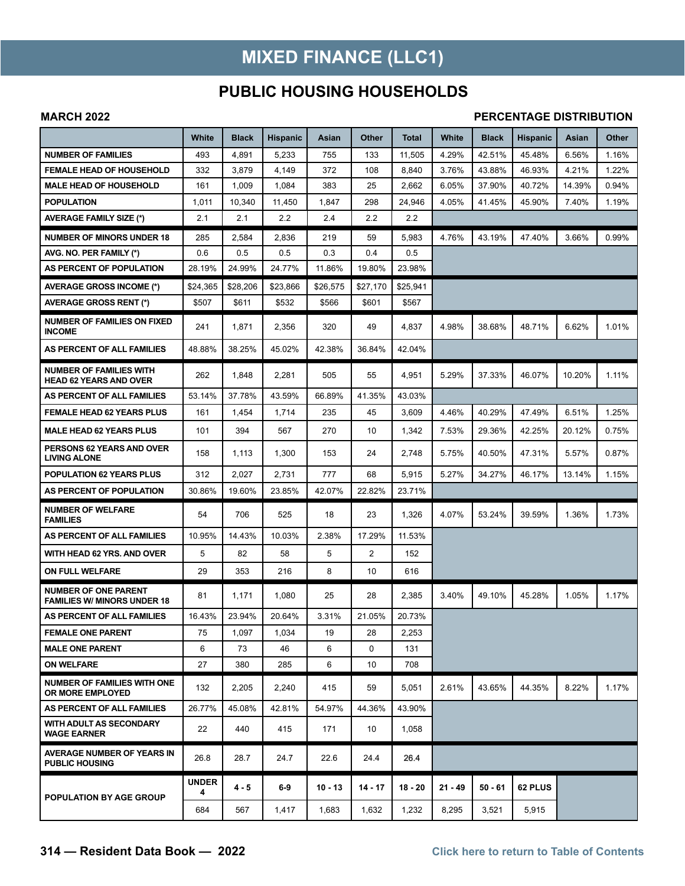## **MIXED FINANCE (LLC1)**

### **PUBLIC HOUSING HOUSEHOLDS**

#### **MARCH 2022**

#### **PERCENTAGE DISTRIBUTION**

|                                                                   | White      | Black    | <b>Hispanic</b> | Asian     | Other     | Total     | White     | <b>Black</b> | <b>Hispanic</b> | Asian  | Other |
|-------------------------------------------------------------------|------------|----------|-----------------|-----------|-----------|-----------|-----------|--------------|-----------------|--------|-------|
| <b>NUMBER OF FAMILIES</b>                                         | 493        | 4,891    | 5,233           | 755       | 133       | 11,505    | 4.29%     | 42.51%       | 45.48%          | 6.56%  | 1.16% |
| <b>FEMALE HEAD OF HOUSEHOLD</b>                                   | 332        | 3,879    | 4,149           | 372       | 108       | 8,840     | 3.76%     | 43.88%       | 46.93%          | 4.21%  | 1.22% |
| <b>MALE HEAD OF HOUSEHOLD</b>                                     | 161        | 1,009    | 1,084           | 383       | 25        | 2,662     | 6.05%     | 37.90%       | 40.72%          | 14.39% | 0.94% |
| <b>POPULATION</b>                                                 | 1,011      | 10,340   | 11,450          | 1,847     | 298       | 24.946    | 4.05%     | 41.45%       | 45.90%          | 7.40%  | 1.19% |
| <b>AVERAGE FAMILY SIZE (*)</b>                                    | 2.1        | 2.1      | 2.2             | 2.4       | 2.2       | 2.2       |           |              |                 |        |       |
| <b>NUMBER OF MINORS UNDER 18</b>                                  | 285        | 2,584    | 2,836           | 219       | 59        | 5,983     | 4.76%     | 43.19%       | 47.40%          | 3.66%  | 0.99% |
| AVG. NO. PER FAMILY (*)                                           | 0.6        | 0.5      | 0.5             | 0.3       | 0.4       | 0.5       |           |              |                 |        |       |
| AS PERCENT OF POPULATION                                          | 28.19%     | 24.99%   | 24.77%          | 11.86%    | 19.80%    | 23.98%    |           |              |                 |        |       |
| <b>AVERAGE GROSS INCOME (*)</b>                                   | \$24,365   | \$28,206 | \$23,866        | \$26,575  | \$27,170  | \$25,941  |           |              |                 |        |       |
| <b>AVERAGE GROSS RENT (*)</b>                                     | \$507      | \$611    | \$532           | \$566     | \$601     | \$567     |           |              |                 |        |       |
| <b>NUMBER OF FAMILIES ON FIXED</b><br><b>INCOME</b>               | 241        | 1,871    | 2,356           | 320       | 49        | 4,837     | 4.98%     | 38.68%       | 48.71%          | 6.62%  | 1.01% |
| AS PERCENT OF ALL FAMILIES                                        | 48.88%     | 38.25%   | 45.02%          | 42.38%    | 36.84%    | 42.04%    |           |              |                 |        |       |
| <b>NUMBER OF FAMILIES WITH</b><br><b>HEAD 62 YEARS AND OVER</b>   | 262        | 1,848    | 2,281           | 505       | 55        | 4,951     | 5.29%     | 37.33%       | 46.07%          | 10.20% | 1.11% |
| AS PERCENT OF ALL FAMILIES                                        | 53.14%     | 37.78%   | 43.59%          | 66.89%    | 41.35%    | 43.03%    |           |              |                 |        |       |
| <b>FEMALE HEAD 62 YEARS PLUS</b>                                  | 161        | 1,454    | 1,714           | 235       | 45        | 3,609     | 4.46%     | 40.29%       | 47.49%          | 6.51%  | 1.25% |
| <b>MALE HEAD 62 YEARS PLUS</b>                                    | 101        | 394      | 567             | 270       | 10        | 1,342     | 7.53%     | 29.36%       | 42.25%          | 20.12% | 0.75% |
| PERSONS 62 YEARS AND OVER<br><b>LIVING ALONE</b>                  | 158        | 1,113    | 1,300           | 153       | 24        | 2,748     | 5.75%     | 40.50%       | 47.31%          | 5.57%  | 0.87% |
| <b>POPULATION 62 YEARS PLUS</b>                                   | 312        | 2,027    | 2,731           | 777       | 68        | 5,915     | 5.27%     | 34.27%       | 46.17%          | 13.14% | 1.15% |
| AS PERCENT OF POPULATION                                          | 30.86%     | 19.60%   | 23.85%          | 42.07%    | 22.82%    | 23.71%    |           |              |                 |        |       |
| <b>NUMBER OF WELFARE</b><br><b>FAMILIES</b>                       | 54         | 706      | 525             | 18        | 23        | 1,326     | 4.07%     | 53.24%       | 39.59%          | 1.36%  | 1.73% |
| AS PERCENT OF ALL FAMILIES                                        | 10.95%     | 14.43%   | 10.03%          | 2.38%     | 17.29%    | 11.53%    |           |              |                 |        |       |
| WITH HEAD 62 YRS. AND OVER                                        | 5          | 82       | 58              | 5         | 2         | 152       |           |              |                 |        |       |
| ON FULL WELFARE                                                   | 29         | 353      | 216             | 8         | 10        | 616       |           |              |                 |        |       |
| <b>NUMBER OF ONE PARENT</b><br><b>FAMILIES W/ MINORS UNDER 18</b> | 81         | 1,171    | 1,080           | 25        | 28        | 2,385     | 3.40%     | 49.10%       | 45.28%          | 1.05%  | 1.17% |
| AS PERCENT OF ALL FAMILIES                                        | 16.43%     | 23.94%   | 20.64%          | 3.31%     | 21.05%    | 20.73%    |           |              |                 |        |       |
| <b>FEMALE ONE PARENT</b>                                          | 75         | 1,097    | 1,034           | 19        | 28        | 2,253     |           |              |                 |        |       |
| <b>MALE ONE PARENT</b>                                            | 6          | 73       | 46              | 6         | $\Omega$  | 131       |           |              |                 |        |       |
| <b>ON WELFARE</b>                                                 | 27         | 380      | 285             | 6         | 10        | 708       |           |              |                 |        |       |
| <b>NUMBER OF FAMILIES WITH ONE</b><br><b>OR MORE EMPLOYED</b>     | 132        | 2,205    | 2,240           | 415       | 59        | 5,051     | 2.61%     | 43.65%       | 44.35%          | 8.22%  | 1.17% |
| AS PERCENT OF ALL FAMILIES                                        | 26.77%     | 45.08%   | 42.81%          | 54.97%    | 44.36%    | 43.90%    |           |              |                 |        |       |
| WITH ADULT AS SECONDARY<br><b>WAGE EARNER</b>                     | 22         | 440      | 415             | 171       | 10        | 1,058     |           |              |                 |        |       |
| <b>AVERAGE NUMBER OF YEARS IN</b><br><b>PUBLIC HOUSING</b>        | 26.8       | 28.7     | 24.7            | 22.6      | 24.4      | 26.4      |           |              |                 |        |       |
| <b>POPULATION BY AGE GROUP</b>                                    | UNDER<br>4 | 4 - 5    | $6-9$           | $10 - 13$ | $14 - 17$ | $18 - 20$ | $21 - 49$ | $50 - 61$    | 62 PLUS         |        |       |
|                                                                   | 684        | 567      | 1,417           | 1,683     | 1,632     | 1,232     | 8,295     | 3,521        | 5,915           |        |       |